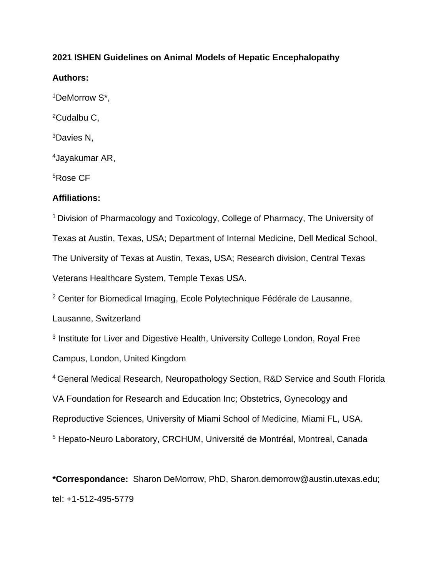## **2021 ISHEN Guidelines on Animal Models of Hepatic Encephalopathy**

# **Authors:**

<sup>1</sup>DeMorrow S\*,

<sup>2</sup>Cudalbu C,

<sup>3</sup>Davies N,

<sup>4</sup>Jayakumar AR,

<sup>5</sup>Rose CF

# **Affiliations:**

<sup>1</sup> Division of Pharmacology and Toxicology, College of Pharmacy, The University of Texas at Austin, Texas, USA; Department of Internal Medicine, Dell Medical School, The University of Texas at Austin, Texas, USA; Research division, Central Texas Veterans Healthcare System, Temple Texas USA.

<sup>2</sup> Center for Biomedical Imaging, Ecole Polytechnique Fédérale de Lausanne,

Lausanne, Switzerland

<sup>3</sup> Institute for Liver and Digestive Health, University College London, Royal Free Campus, London, United Kingdom

<sup>4</sup>General Medical Research, Neuropathology Section, R&D Service and South Florida VA Foundation for Research and Education Inc; Obstetrics, Gynecology and Reproductive Sciences, University of Miami School of Medicine, Miami FL, USA. <sup>5</sup> Hepato-Neuro Laboratory, CRCHUM, Université de Montréal, Montreal, Canada

**\*Correspondance:** Sharon DeMorrow, PhD, Sharon.demorrow@austin.utexas.edu; tel: +1-512-495-5779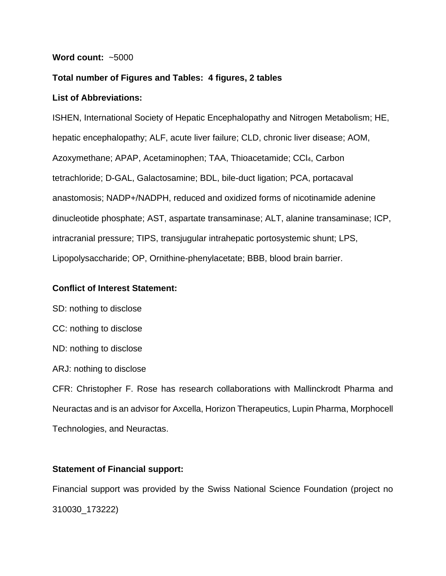### **Word count:** ~5000

## **Total number of Figures and Tables: 4 figures, 2 tables**

## **List of Abbreviations:**

ISHEN, International Society of Hepatic Encephalopathy and Nitrogen Metabolism; HE, hepatic encephalopathy; ALF, acute liver failure; CLD, chronic liver disease; AOM, Azoxymethane; APAP, Acetaminophen; TAA, Thioacetamide; CCl4, Carbon tetrachloride; D-GAL, Galactosamine; BDL, bile-duct ligation; PCA, portacaval anastomosis; NADP+/NADPH, reduced and oxidized forms of nicotinamide adenine dinucleotide phosphate; AST, aspartate transaminase; ALT, alanine transaminase; ICP, intracranial pressure; TIPS, transjugular intrahepatic portosystemic shunt; LPS, Lipopolysaccharide; OP, Ornithine-phenylacetate; BBB, blood brain barrier.

## **Conflict of Interest Statement:**

SD: nothing to disclose

- CC: nothing to disclose
- ND: nothing to disclose
- ARJ: nothing to disclose

CFR: Christopher F. Rose has research collaborations with Mallinckrodt Pharma and Neuractas and is an advisor for Axcella, Horizon Therapeutics, Lupin Pharma, Morphocell Technologies, and Neuractas.

# **Statement of Financial support:**

Financial support was provided by the Swiss National Science Foundation (project no 310030\_173222)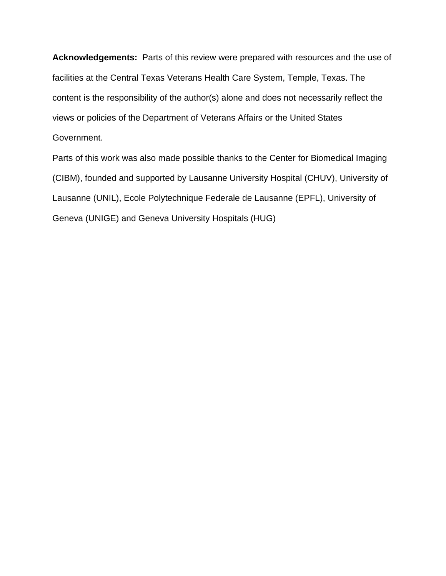**Acknowledgements:** Parts of this review were prepared with resources and the use of facilities at the Central Texas Veterans Health Care System, Temple, Texas. The content is the responsibility of the author(s) alone and does not necessarily reflect the views or policies of the Department of Veterans Affairs or the United States Government.

Parts of this work was also made possible thanks to the Center for Biomedical Imaging (CIBM), founded and supported by Lausanne University Hospital (CHUV), University of Lausanne (UNIL), Ecole Polytechnique Federale de Lausanne (EPFL), University of Geneva (UNIGE) and Geneva University Hospitals (HUG)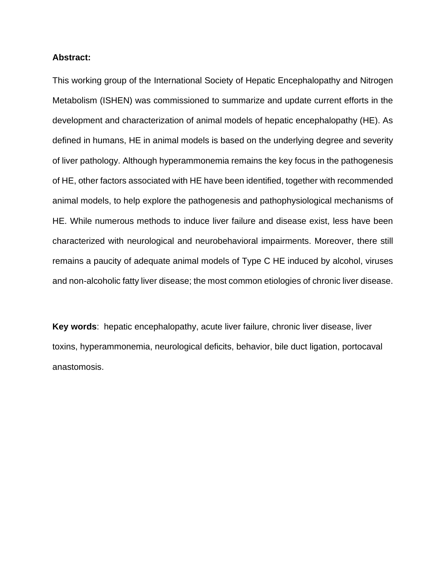#### **Abstract:**

This working group of the International Society of Hepatic Encephalopathy and Nitrogen Metabolism (ISHEN) was commissioned to summarize and update current efforts in the development and characterization of animal models of hepatic encephalopathy (HE). As defined in humans, HE in animal models is based on the underlying degree and severity of liver pathology. Although hyperammonemia remains the key focus in the pathogenesis of HE, other factors associated with HE have been identified, together with recommended animal models, to help explore the pathogenesis and pathophysiological mechanisms of HE. While numerous methods to induce liver failure and disease exist, less have been characterized with neurological and neurobehavioral impairments. Moreover, there still remains a paucity of adequate animal models of Type C HE induced by alcohol, viruses and non-alcoholic fatty liver disease; the most common etiologies of chronic liver disease.

**Key words**: hepatic encephalopathy, acute liver failure, chronic liver disease, liver toxins, hyperammonemia, neurological deficits, behavior, bile duct ligation, portocaval anastomosis.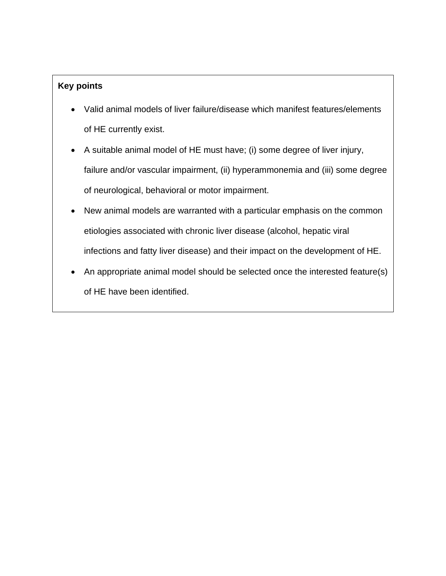# **Key points**

- Valid animal models of liver failure/disease which manifest features/elements of HE currently exist.
- A suitable animal model of HE must have; (i) some degree of liver injury, failure and/or vascular impairment, (ii) hyperammonemia and (iii) some degree of neurological, behavioral or motor impairment.
- New animal models are warranted with a particular emphasis on the common etiologies associated with chronic liver disease (alcohol, hepatic viral infections and fatty liver disease) and their impact on the development of HE.
- An appropriate animal model should be selected once the interested feature(s) of HE have been identified.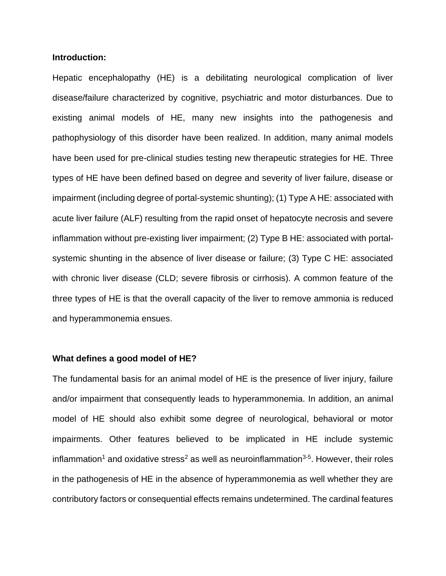#### **Introduction:**

Hepatic encephalopathy (HE) is a debilitating neurological complication of liver disease/failure characterized by cognitive, psychiatric and motor disturbances. Due to existing animal models of HE, many new insights into the pathogenesis and pathophysiology of this disorder have been realized. In addition, many animal models have been used for pre-clinical studies testing new therapeutic strategies for HE. Three types of HE have been defined based on degree and severity of liver failure, disease or impairment (including degree of portal-systemic shunting); (1) Type A HE: associated with acute liver failure (ALF) resulting from the rapid onset of hepatocyte necrosis and severe inflammation without pre-existing liver impairment; (2) Type B HE: associated with portalsystemic shunting in the absence of liver disease or failure; (3) Type C HE: associated with chronic liver disease (CLD; severe fibrosis or cirrhosis). A common feature of the three types of HE is that the overall capacity of the liver to remove ammonia is reduced and hyperammonemia ensues.

#### **What defines a good model of HE?**

The fundamental basis for an animal model of HE is the presence of liver injury, failure and/or impairment that consequently leads to hyperammonemia. In addition, an animal model of HE should also exhibit some degree of neurological, behavioral or motor impairments. Other features believed to be implicated in HE include systemic inflammation<sup>1</sup> and oxidative stress<sup>2</sup> as well as neuroinflammation<sup>3-5</sup>. However, their roles in the pathogenesis of HE in the absence of hyperammonemia as well whether they are contributory factors or consequential effects remains undetermined. The cardinal features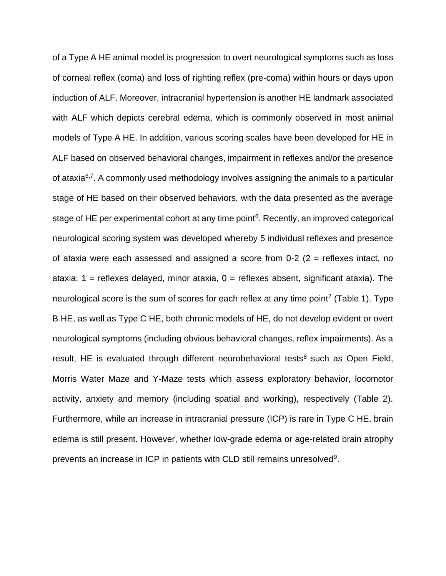of a Type A HE animal model is progression to overt neurological symptoms such as loss of corneal reflex (coma) and loss of righting reflex (pre-coma) within hours or days upon induction of ALF. Moreover, intracranial hypertension is another HE landmark associated with ALF which depicts cerebral edema, which is commonly observed in most animal models of Type A HE. In addition, various scoring scales have been developed for HE in ALF based on observed behavioral changes, impairment in reflexes and/or the presence of ataxia<sup>6,7</sup>. A commonly used methodology involves assigning the animals to a particular stage of HE based on their observed behaviors, with the data presented as the average stage of HE per experimental cohort at any time point<sup>6</sup>. Recently, an improved categorical neurological scoring system was developed whereby 5 individual reflexes and presence of ataxia were each assessed and assigned a score from  $0-2$  ( $2 =$  reflexes intact, no ataxia; 1 = reflexes delayed, minor ataxia, 0 = reflexes absent, significant ataxia). The neurological score is the sum of scores for each reflex at any time point<sup>7</sup> (Table 1). Type B HE, as well as Type C HE, both chronic models of HE, do not develop evident or overt neurological symptoms (including obvious behavioral changes, reflex impairments). As a result, HE is evaluated through different neurobehavioral tests<sup>8</sup> such as Open Field, Morris Water Maze and Y-Maze tests which assess exploratory behavior, locomotor activity, anxiety and memory (including spatial and working), respectively (Table 2). Furthermore, while an increase in intracranial pressure (ICP) is rare in Type C HE, brain edema is still present. However, whether low-grade edema or age-related brain atrophy prevents an increase in ICP in patients with CLD still remains unresolved<sup>9</sup>.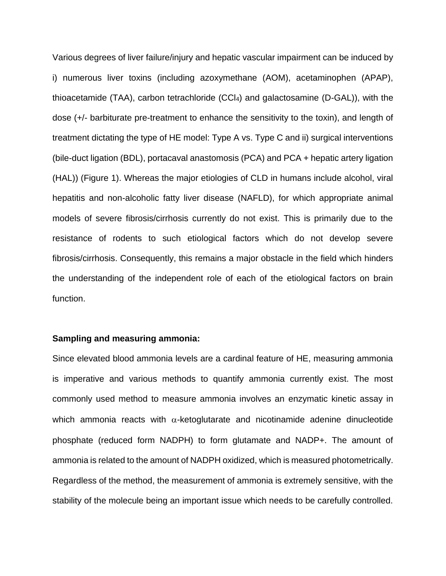Various degrees of liver failure/injury and hepatic vascular impairment can be induced by i) numerous liver toxins (including azoxymethane (AOM), acetaminophen (APAP), thioacetamide (TAA), carbon tetrachloride (CCl4) and galactosamine (D-GAL)), with the dose (+/- barbiturate pre-treatment to enhance the sensitivity to the toxin), and length of treatment dictating the type of HE model: Type A vs. Type C and ii) surgical interventions (bile-duct ligation (BDL), portacaval anastomosis (PCA) and PCA + hepatic artery ligation (HAL)) (Figure 1). Whereas the major etiologies of CLD in humans include alcohol, viral hepatitis and non-alcoholic fatty liver disease (NAFLD), for which appropriate animal models of severe fibrosis/cirrhosis currently do not exist. This is primarily due to the resistance of rodents to such etiological factors which do not develop severe fibrosis/cirrhosis. Consequently, this remains a major obstacle in the field which hinders the understanding of the independent role of each of the etiological factors on brain function.

#### **Sampling and measuring ammonia:**

Since elevated blood ammonia levels are a cardinal feature of HE, measuring ammonia is imperative and various methods to quantify ammonia currently exist. The most commonly used method to measure ammonia involves an enzymatic kinetic assay in which ammonia reacts with  $\alpha$ -ketoglutarate and nicotinamide adenine dinucleotide phosphate (reduced form NADPH) to form glutamate and NADP+. The amount of ammonia is related to the amount of NADPH oxidized, which is measured photometrically. Regardless of the method, the measurement of ammonia is extremely sensitive, with the stability of the molecule being an important issue which needs to be carefully controlled.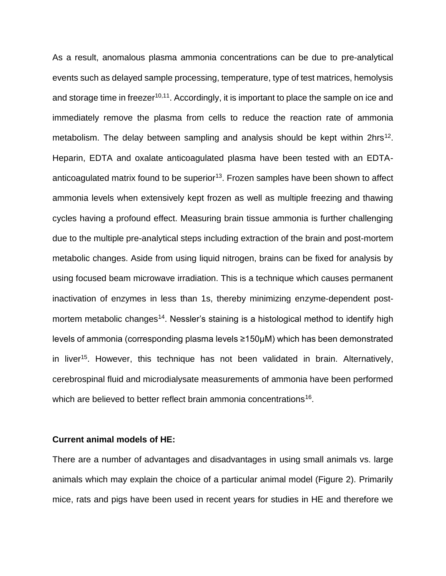As a result, anomalous plasma ammonia concentrations can be due to pre-analytical events such as delayed sample processing, temperature, type of test matrices, hemolysis and storage time in freezer<sup>10,11</sup>. Accordingly, it is important to place the sample on ice and immediately remove the plasma from cells to reduce the reaction rate of ammonia metabolism. The delay between sampling and analysis should be kept within 2hrs<sup>12</sup>. Heparin, EDTA and oxalate anticoagulated plasma have been tested with an EDTAanticoagulated matrix found to be superior<sup>13</sup>. Frozen samples have been shown to affect ammonia levels when extensively kept frozen as well as multiple freezing and thawing cycles having a profound effect. Measuring brain tissue ammonia is further challenging due to the multiple pre-analytical steps including extraction of the brain and post-mortem metabolic changes. Aside from using liquid nitrogen, brains can be fixed for analysis by using focused beam microwave irradiation. This is a technique which causes permanent inactivation of enzymes in less than 1s, thereby minimizing enzyme‐dependent postmortem metabolic changes<sup>14</sup>. Nessler's staining is a histological method to identify high levels of ammonia (corresponding plasma levels ≥150µM) which has been demonstrated in liver<sup>15</sup>. However, this technique has not been validated in brain. Alternatively, cerebrospinal fluid and microdialysate measurements of ammonia have been performed which are believed to better reflect brain ammonia concentrations<sup>16</sup>.

#### **Current animal models of HE:**

There are a number of advantages and disadvantages in using small animals vs. large animals which may explain the choice of a particular animal model (Figure 2). Primarily mice, rats and pigs have been used in recent years for studies in HE and therefore we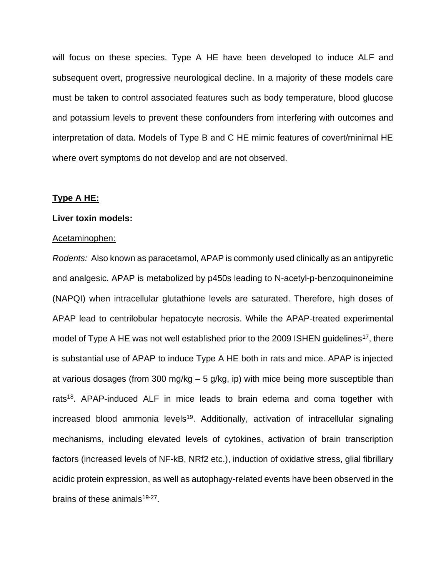will focus on these species. Type A HE have been developed to induce ALF and subsequent overt, progressive neurological decline. In a majority of these models care must be taken to control associated features such as body temperature, blood glucose and potassium levels to prevent these confounders from interfering with outcomes and interpretation of data. Models of Type B and C HE mimic features of covert/minimal HE where overt symptoms do not develop and are not observed.

#### **Type A HE:**

#### **Liver toxin models:**

#### Acetaminophen:

*Rodents:* Also known as paracetamol, APAP is commonly used clinically as an antipyretic and analgesic. APAP is metabolized by p450s leading to N-acetyl-p-benzoquinoneimine (NAPQI) when intracellular glutathione levels are saturated. Therefore, high doses of APAP lead to centrilobular hepatocyte necrosis. While the APAP-treated experimental model of Type A HE was not well established prior to the 2009 ISHEN guidelines<sup>17</sup>, there is substantial use of APAP to induce Type A HE both in rats and mice. APAP is injected at various dosages (from 300 mg/kg – 5 g/kg, ip) with mice being more susceptible than rats<sup>18</sup>. APAP-induced ALF in mice leads to brain edema and coma together with increased blood ammonia levels<sup>19</sup>. Additionally, activation of intracellular signaling mechanisms, including elevated levels of cytokines, activation of brain transcription factors (increased levels of NF-kB, NRf2 etc.), induction of oxidative stress, glial fibrillary acidic protein expression, as well as autophagy-related events have been observed in the brains of these animals<sup>19-27</sup>.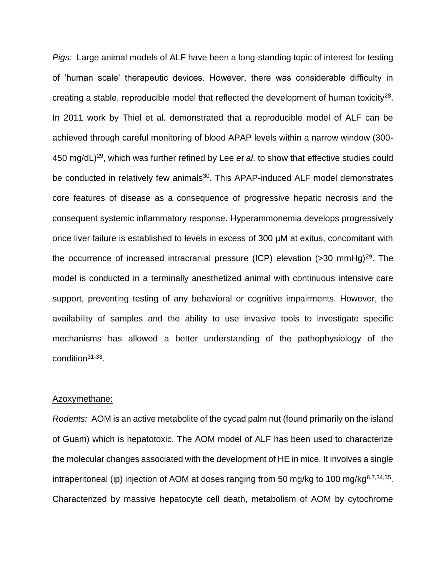*Pigs:* Large animal models of ALF have been a long-standing topic of interest for testing of 'human scale' therapeutic devices. However, there was considerable difficulty in creating a stable, reproducible model that reflected the development of human toxicity<sup>28</sup>. In 2011 work by Thiel et al. demonstrated that a reproducible model of ALF can be achieved through careful monitoring of blood APAP levels within a narrow window (300- 450 mg/dL)<sup>29</sup>, which was further refined by Lee *et al*. to show that effective studies could be conducted in relatively few animals<sup>30</sup>. This APAP-induced ALF model demonstrates core features of disease as a consequence of progressive hepatic necrosis and the consequent systemic inflammatory response. Hyperammonemia develops progressively once liver failure is established to levels in excess of 300 µM at exitus, concomitant with the occurrence of increased intracranial pressure (ICP) elevation  $($ >30 mmHg)<sup>29</sup>. The model is conducted in a terminally anesthetized animal with continuous intensive care support, preventing testing of any behavioral or cognitive impairments. However, the availability of samples and the ability to use invasive tools to investigate specific mechanisms has allowed a better understanding of the pathophysiology of the condition<sup>31-33</sup>.

#### Azoxymethane:

*Rodents:* AOM is an active metabolite of the cycad palm nut (found primarily on the island of Guam) which is hepatotoxic. The AOM model of ALF has been used to characterize the molecular changes associated with the development of HE in mice. It involves a single intraperitoneal (ip) injection of AOM at doses ranging from 50 mg/kg to 100 mg/kg<sup>6,7,34,35</sup>. Characterized by massive hepatocyte cell death, metabolism of AOM by cytochrome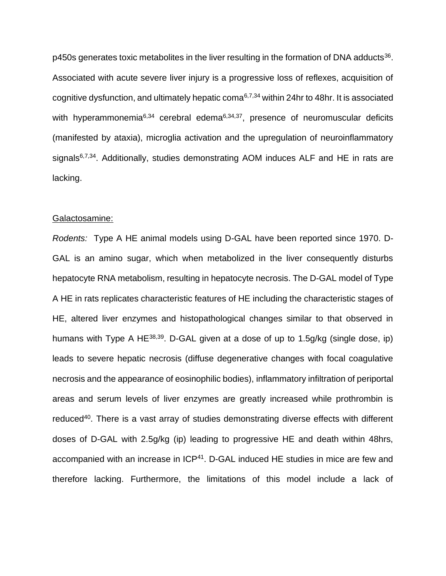p450s generates toxic metabolites in the liver resulting in the formation of DNA adducts<sup>36</sup>. Associated with acute severe liver injury is a progressive loss of reflexes, acquisition of cognitive dysfunction, and ultimately hepatic coma6,7,34 within 24hr to 48hr. It is associated with hyperammonemia<sup>6,34</sup> cerebral edema<sup>6,34,37</sup>, presence of neuromuscular deficits (manifested by ataxia), microglia activation and the upregulation of neuroinflammatory signals $6,7,34$ . Additionally, studies demonstrating AOM induces ALF and HE in rats are lacking.

#### Galactosamine:

*Rodents:* Type A HE animal models using D-GAL have been reported since 1970. D-GAL is an amino sugar, which when metabolized in the liver consequently disturbs hepatocyte RNA metabolism, resulting in hepatocyte necrosis. The D-GAL model of Type A HE in rats replicates characteristic features of HE including the characteristic stages of HE, altered liver enzymes and histopathological changes similar to that observed in humans with Type A HE<sup>38,39</sup>. D-GAL given at a dose of up to 1.5g/kg (single dose, ip) leads to severe hepatic necrosis (diffuse degenerative changes with focal coagulative necrosis and the appearance of eosinophilic bodies), inflammatory infiltration of periportal areas and serum levels of liver enzymes are greatly increased while prothrombin is reduced<sup>40</sup>. There is a vast array of studies demonstrating diverse effects with different doses of D-GAL with 2.5g/kg (ip) leading to progressive HE and death within 48hrs, accompanied with an increase in ICP<sup>41</sup>. D-GAL induced HE studies in mice are few and therefore lacking. Furthermore, the limitations of this model include a lack of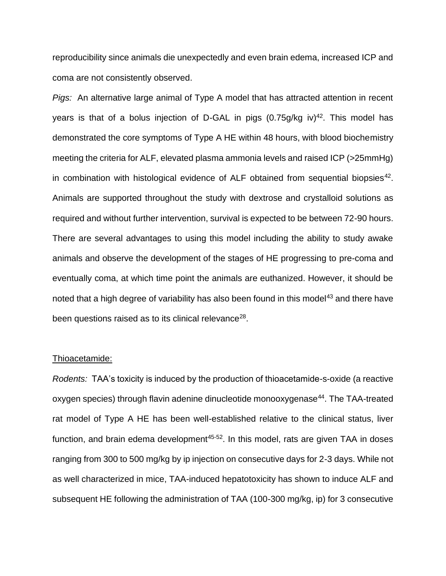reproducibility since animals die unexpectedly and even brain edema, increased ICP and coma are not consistently observed.

*Pigs:* An alternative large animal of Type A model that has attracted attention in recent years is that of a bolus injection of D-GAL in pigs  $(0.75g/kg iv)^{42}$ . This model has demonstrated the core symptoms of Type A HE within 48 hours, with blood biochemistry meeting the criteria for ALF, elevated plasma ammonia levels and raised ICP (>25mmHg) in combination with histological evidence of ALF obtained from sequential biopsies<sup>42</sup>. Animals are supported throughout the study with dextrose and crystalloid solutions as required and without further intervention, survival is expected to be between 72-90 hours. There are several advantages to using this model including the ability to study awake animals and observe the development of the stages of HE progressing to pre-coma and eventually coma, at which time point the animals are euthanized. However, it should be noted that a high degree of variability has also been found in this model<sup>43</sup> and there have been questions raised as to its clinical relevance<sup>28</sup>.

#### Thioacetamide:

*Rodents:* TAA's toxicity is induced by the production of thioacetamide-s-oxide (a reactive oxygen species) through flavin adenine dinucleotide monooxygenase<sup>44</sup>. The TAA-treated rat model of Type A HE has been well-established relative to the clinical status, liver function, and brain edema development $45-52$ . In this model, rats are given TAA in doses ranging from 300 to 500 mg/kg by ip injection on consecutive days for 2-3 days. While not as well characterized in mice, TAA-induced hepatotoxicity has shown to induce ALF and subsequent HE following the administration of TAA (100-300 mg/kg, ip) for 3 consecutive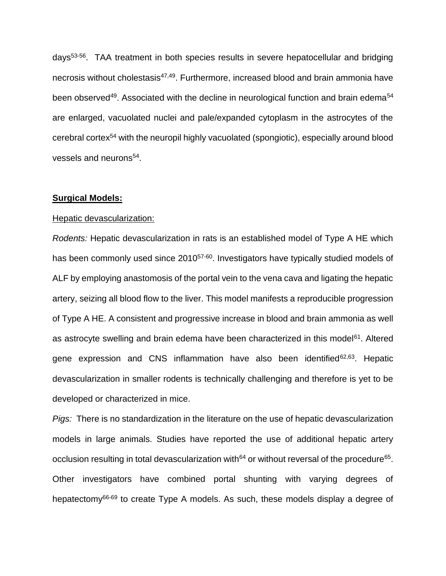days53-56. TAA treatment in both species results in severe hepatocellular and bridging necrosis without cholestasis<sup>47,49</sup>. Furthermore, increased blood and brain ammonia have been observed<sup>49</sup>. Associated with the decline in neurological function and brain edema<sup>54</sup> are enlarged, vacuolated nuclei and pale/expanded cytoplasm in the astrocytes of the cerebral cortex<sup>54</sup> with the neuropil highly vacuolated (spongiotic), especially around blood vessels and neurons<sup>54</sup>.

#### **Surgical Models:**

#### Hepatic devascularization:

*Rodents:* Hepatic devascularization in rats is an established model of Type A HE which has been commonly used since 2010<sup>57-60</sup>. Investigators have typically studied models of ALF by employing anastomosis of the portal vein to the vena cava and ligating the hepatic artery, seizing all blood flow to the liver. This model manifests a reproducible progression of Type A HE. A consistent and progressive increase in blood and brain ammonia as well as astrocyte swelling and brain edema have been characterized in this model<sup>61</sup>. Altered gene expression and CNS inflammation have also been identified<sup>62,63</sup>. Hepatic devascularization in smaller rodents is technically challenging and therefore is yet to be developed or characterized in mice.

*Pigs:* There is no standardization in the literature on the use of hepatic devascularization models in large animals. Studies have reported the use of additional hepatic artery occlusion resulting in total devascularization with<sup>64</sup> or without reversal of the procedure<sup>65</sup>. Other investigators have combined portal shunting with varying degrees of hepatectomy<sup>66-69</sup> to create Type A models. As such, these models display a degree of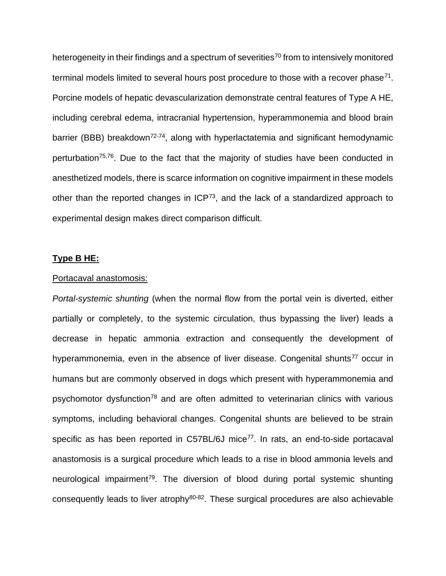heterogeneity in their findings and a spectrum of severities<sup>70</sup> from to intensively monitored terminal models limited to several hours post procedure to those with a recover phase<sup>71</sup>. Porcine models of hepatic devascularization demonstrate central features of Type A HE, including cerebral edema, intracranial hypertension, hyperammonemia and blood brain barrier (BBB) breakdown<sup>72-74</sup>, along with hyperlactatemia and significant hemodynamic perturbation75,76. Due to the fact that the majority of studies have been conducted in anesthetized models, there is scarce information on cognitive impairment in these models other than the reported changes in ICP<sup>73</sup>, and the lack of a standardized approach to experimental design makes direct comparison difficult.

#### **Type B HE:**

#### Portacaval anastomosis:

*Portal-systemic shunting* (when the normal flow from the portal vein is diverted, either partially or completely, to the systemic circulation, thus bypassing the liver) leads a decrease in hepatic ammonia extraction and consequently the development of hyperammonemia, even in the absence of liver disease. Congenital shunts<sup>77</sup> occur in humans but are commonly observed in dogs which present with hyperammonemia and psychomotor dysfunction<sup>78</sup> and are often admitted to veterinarian clinics with various symptoms, including behavioral changes. Congenital shunts are believed to be strain specific as has been reported in C57BL/6J mice<sup>77</sup>. In rats, an end-to-side portacaval anastomosis is a surgical procedure which leads to a rise in blood ammonia levels and neurological impairment<sup>79</sup>. The diversion of blood during portal systemic shunting consequently leads to liver atrophy<sup>80-82</sup>. These surgical procedures are also achievable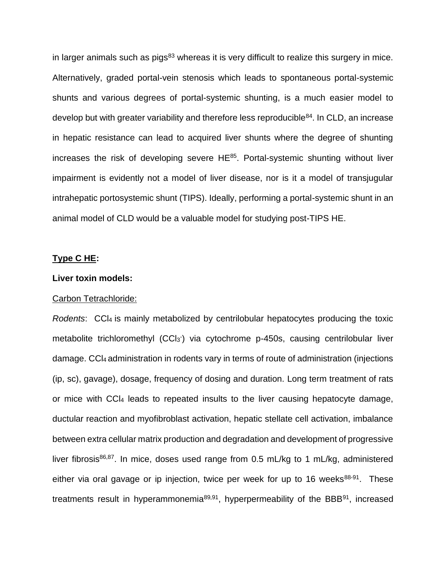in larger animals such as pigs $83$  whereas it is very difficult to realize this surgery in mice. Alternatively, graded portal-vein stenosis which leads to spontaneous portal-systemic shunts and various degrees of portal-systemic shunting, is a much easier model to develop but with greater variability and therefore less reproducible<sup>84</sup>. In CLD, an increase in hepatic resistance can lead to acquired liver shunts where the degree of shunting increases the risk of developing severe  $HE^{85}$ . Portal-systemic shunting without liver impairment is evidently not a model of liver disease, nor is it a model of transjugular intrahepatic portosystemic shunt (TIPS). Ideally, performing a portal-systemic shunt in an animal model of CLD would be a valuable model for studying post-TIPS HE.

#### **Type C HE:**

#### **Liver toxin models:**

#### Carbon Tetrachloride:

*Rodents*: CCl4 is mainly metabolized by centrilobular hepatocytes producing the toxic metabolite trichloromethyl (CCl<sub>3</sub>) via cytochrome p-450s, causing centrilobular liver damage. CCl4 administration in rodents vary in terms of route of administration (injections (ip, sc), gavage), dosage, frequency of dosing and duration. Long term treatment of rats or mice with CCl<sup>4</sup> leads to repeated insults to the liver causing hepatocyte damage, ductular reaction and myofibroblast activation, hepatic stellate cell activation, imbalance between extra cellular matrix production and degradation and development of progressive liver fibrosis<sup>86,87</sup>. In mice, doses used range from 0.5 mL/kg to 1 mL/kg, administered either via oral gavage or ip injection, twice per week for up to 16 weeks $88-91$ . These treatments result in hyperammonemia<sup>89,91</sup>, hyperpermeability of the BBB<sup>91</sup>, increased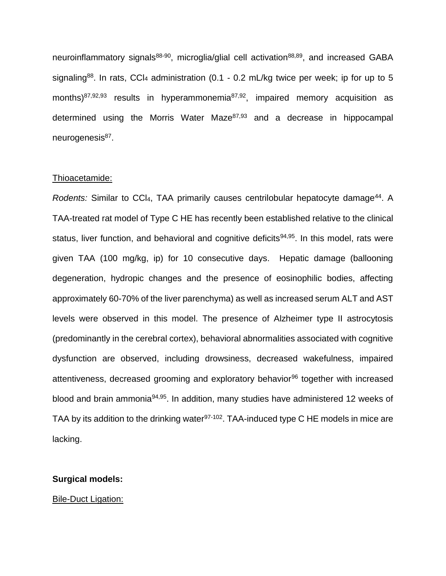neuroinflammatory signals<sup>88-90</sup>, microglia/glial cell activation<sup>88,89</sup>, and increased GABA signaling<sup>88</sup>. In rats, CCI<sub>4</sub> administration (0.1 - 0.2 mL/kg twice per week; ip for up to 5 months)<sup>87,92,93</sup> results in hyperammonemia<sup>87,92</sup>, impaired memory acquisition as determined using the Morris Water Maze $87,93$  and a decrease in hippocampal neurogenesis<sup>87</sup>.

#### Thioacetamide:

Rodents: Similar to CCI<sub>4</sub>, TAA primarily causes centrilobular hepatocyte damage<sup>44</sup>. A TAA-treated rat model of Type C HE has recently been established relative to the clinical status, liver function, and behavioral and cognitive deficits<sup>94,95</sup>. In this model, rats were given TAA (100 mg/kg, ip) for 10 consecutive days. Hepatic damage (ballooning degeneration, hydropic changes and the presence of eosinophilic bodies, affecting approximately 60-70% of the liver parenchyma) as well as increased serum ALT and AST levels were observed in this model. The presence of Alzheimer type II astrocytosis (predominantly in the cerebral cortex), behavioral abnormalities associated with cognitive dysfunction are observed, including drowsiness, decreased wakefulness, impaired attentiveness, decreased grooming and exploratory behavior<sup>96</sup> together with increased blood and brain ammonia94,95. In addition, many studies have administered 12 weeks of TAA by its addition to the drinking water<sup>97-102</sup>. TAA-induced type C HE models in mice are lacking.

#### **Surgical models:**

#### Bile-Duct Ligation: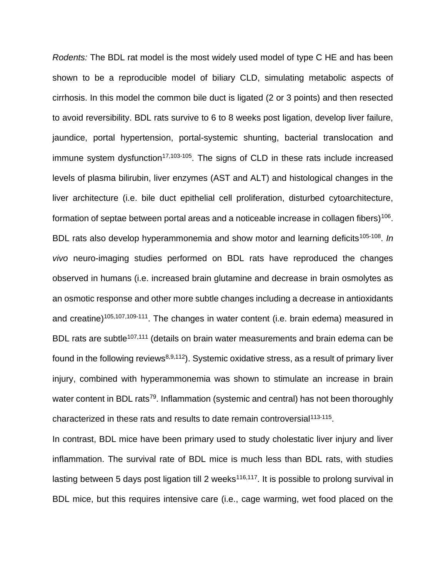*Rodents:* The BDL rat model is the most widely used model of type C HE and has been shown to be a reproducible model of biliary CLD, simulating metabolic aspects of cirrhosis. In this model the common bile duct is ligated (2 or 3 points) and then resected to avoid reversibility. BDL rats survive to 6 to 8 weeks post ligation, develop liver failure, jaundice, portal hypertension, portal-systemic shunting, bacterial translocation and immune system dysfunction<sup>17,103-105</sup>. The signs of CLD in these rats include increased levels of plasma bilirubin, liver enzymes (AST and ALT) and histological changes in the liver architecture (i.e. bile duct epithelial cell proliferation, disturbed cytoarchitecture, formation of septae between portal areas and a noticeable increase in collagen fibers)<sup>106</sup>. BDL rats also develop hyperammonemia and show motor and learning deficits<sup>105-108</sup>. In *vivo* neuro-imaging studies performed on BDL rats have reproduced the changes observed in humans (i.e. increased brain glutamine and decrease in brain osmolytes as an osmotic response and other more subtle changes including a decrease in antioxidants and creatine)<sup>105,107,109-111</sup>. The changes in water content (i.e. brain edema) measured in BDL rats are subtle<sup>107,111</sup> (details on brain water measurements and brain edema can be found in the following reviews<sup>8,9,112</sup>). Systemic oxidative stress, as a result of primary liver injury, combined with hyperammonemia was shown to stimulate an increase in brain water content in BDL rats<sup>79</sup>. Inflammation (systemic and central) has not been thoroughly characterized in these rats and results to date remain controversial<sup>113-115</sup>.

In contrast, BDL mice have been primary used to study cholestatic liver injury and liver inflammation. The survival rate of BDL mice is much less than BDL rats, with studies lasting between 5 days post ligation till 2 weeks<sup>116,117</sup>. It is possible to prolong survival in BDL mice, but this requires intensive care (i.e., cage warming, wet food placed on the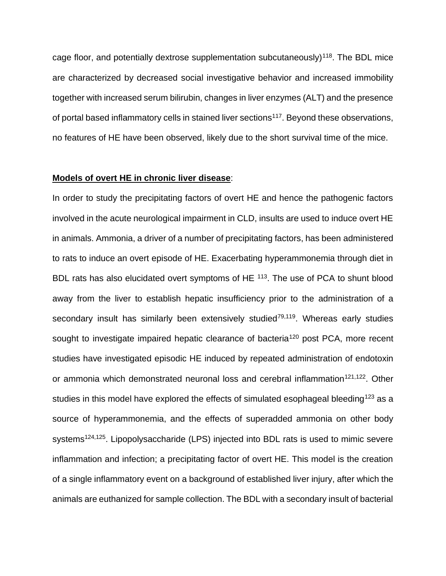cage floor, and potentially dextrose supplementation subcutaneously)<sup>118</sup>. The BDL mice are characterized by decreased social investigative behavior and increased immobility together with increased serum bilirubin, changes in liver enzymes (ALT) and the presence of portal based inflammatory cells in stained liver sections<sup>117</sup>. Beyond these observations, no features of HE have been observed, likely due to the short survival time of the mice.

#### **Models of overt HE in chronic liver disease**:

In order to study the precipitating factors of overt HE and hence the pathogenic factors involved in the acute neurological impairment in CLD, insults are used to induce overt HE in animals. Ammonia, a driver of a number of precipitating factors, has been administered to rats to induce an overt episode of HE. Exacerbating hyperammonemia through diet in BDL rats has also elucidated overt symptoms of HE <sup>113</sup>. The use of PCA to shunt blood away from the liver to establish hepatic insufficiency prior to the administration of a secondary insult has similarly been extensively studied $79,119$ . Whereas early studies sought to investigate impaired hepatic clearance of bacteria<sup>120</sup> post PCA, more recent studies have investigated episodic HE induced by repeated administration of endotoxin or ammonia which demonstrated neuronal loss and cerebral inflammation<sup>121,122</sup>. Other studies in this model have explored the effects of simulated esophageal bleeding<sup>123</sup> as a source of hyperammonemia, and the effects of superadded ammonia on other body systems<sup>124,125</sup>. Lipopolysaccharide (LPS) injected into BDL rats is used to mimic severe inflammation and infection; a precipitating factor of overt HE. This model is the creation of a single inflammatory event on a background of established liver injury, after which the animals are euthanized for sample collection. The BDL with a secondary insult of bacterial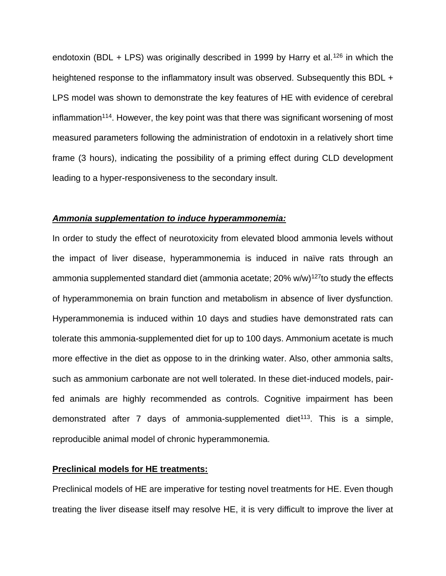endotoxin (BDL + LPS) was originally described in 1999 by Harry et al.<sup>126</sup> in which the heightened response to the inflammatory insult was observed. Subsequently this BDL + LPS model was shown to demonstrate the key features of HE with evidence of cerebral inflammation<sup>114</sup>. However, the key point was that there was significant worsening of most measured parameters following the administration of endotoxin in a relatively short time frame (3 hours), indicating the possibility of a priming effect during CLD development leading to a hyper-responsiveness to the secondary insult.

#### *Ammonia supplementation to induce hyperammonemia:*

In order to study the effect of neurotoxicity from elevated blood ammonia levels without the impact of liver disease, hyperammonemia is induced in naïve rats through an ammonia supplemented standard diet (ammonia acetate;  $20\%$  w/w)<sup>127</sup>to study the effects of hyperammonemia on brain function and metabolism in absence of liver dysfunction. Hyperammonemia is induced within 10 days and studies have demonstrated rats can tolerate this ammonia-supplemented diet for up to 100 days. Ammonium acetate is much more effective in the diet as oppose to in the drinking water. Also, other ammonia salts, such as ammonium carbonate are not well tolerated. In these diet-induced models, pairfed animals are highly recommended as controls. Cognitive impairment has been demonstrated after 7 days of ammonia-supplemented diet $113$ . This is a simple, reproducible animal model of chronic hyperammonemia.

# **Preclinical models for HE treatments:**

Preclinical models of HE are imperative for testing novel treatments for HE. Even though treating the liver disease itself may resolve HE, it is very difficult to improve the liver at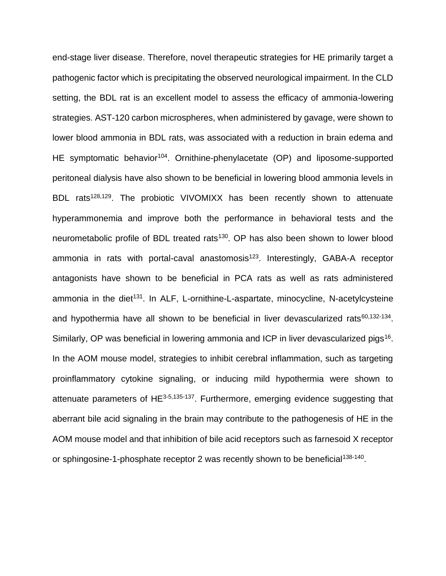end-stage liver disease. Therefore, novel therapeutic strategies for HE primarily target a pathogenic factor which is precipitating the observed neurological impairment. In the CLD setting, the BDL rat is an excellent model to assess the efficacy of ammonia-lowering strategies. AST-120 carbon microspheres, when administered by gavage, were shown to lower blood ammonia in BDL rats, was associated with a reduction in brain edema and HE symptomatic behavior<sup>104</sup>. Ornithine-phenylacetate (OP) and liposome-supported peritoneal dialysis have also shown to be beneficial in lowering blood ammonia levels in BDL rats<sup>128,129</sup>. The probiotic VIVOMIXX has been recently shown to attenuate hyperammonemia and improve both the performance in behavioral tests and the neurometabolic profile of BDL treated rats<sup>130</sup>. OP has also been shown to lower blood ammonia in rats with portal-caval anastomosis<sup>123</sup>. Interestingly, GABA-A receptor antagonists have shown to be beneficial in PCA rats as well as rats administered ammonia in the diet<sup>131</sup>. In ALF, L-ornithine-L-aspartate, minocycline, N-acetylcysteine and hypothermia have all shown to be beneficial in liver devascularized rats<sup>60,132-134</sup>. Similarly, OP was beneficial in lowering ammonia and ICP in liver devascularized pigs<sup>16</sup>. In the AOM mouse model, strategies to inhibit cerebral inflammation, such as targeting proinflammatory cytokine signaling, or inducing mild hypothermia were shown to attenuate parameters of HE<sup>3-5,135-137</sup>. Furthermore, emerging evidence suggesting that aberrant bile acid signaling in the brain may contribute to the pathogenesis of HE in the AOM mouse model and that inhibition of bile acid receptors such as farnesoid X receptor or sphingosine-1-phosphate receptor 2 was recently shown to be beneficial<sup>138-140</sup>.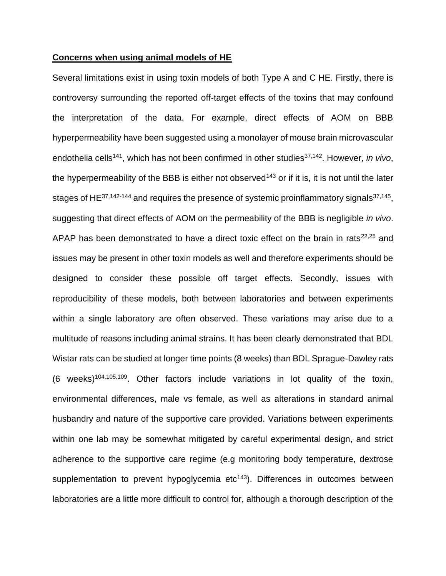#### **Concerns when using animal models of HE**

Several limitations exist in using toxin models of both Type A and C HE. Firstly, there is controversy surrounding the reported off-target effects of the toxins that may confound the interpretation of the data. For example, direct effects of AOM on BBB hyperpermeability have been suggested using a monolayer of mouse brain microvascular endothelia cells<sup>141</sup>, which has not been confirmed in other studies<sup>37,142</sup>. However, *in vivo*, the hyperpermeability of the BBB is either not observed<sup>143</sup> or if it is, it is not until the later stages of HE $37,142-144$  and requires the presence of systemic proinflammatory signals $37,145$ , suggesting that direct effects of AOM on the permeability of the BBB is negligible *in vivo*. APAP has been demonstrated to have a direct toxic effect on the brain in rats $22,25$  and issues may be present in other toxin models as well and therefore experiments should be designed to consider these possible off target effects. Secondly, issues with reproducibility of these models, both between laboratories and between experiments within a single laboratory are often observed. These variations may arise due to a multitude of reasons including animal strains. It has been clearly demonstrated that BDL Wistar rats can be studied at longer time points (8 weeks) than BDL Sprague-Dawley rats (6 weeks)<sup>104,105,109</sup>. Other factors include variations in lot quality of the toxin, environmental differences, male vs female, as well as alterations in standard animal husbandry and nature of the supportive care provided. Variations between experiments within one lab may be somewhat mitigated by careful experimental design, and strict adherence to the supportive care regime (e.g monitoring body temperature, dextrose supplementation to prevent hypoglycemia  $etc<sup>143</sup>$ ). Differences in outcomes between laboratories are a little more difficult to control for, although a thorough description of the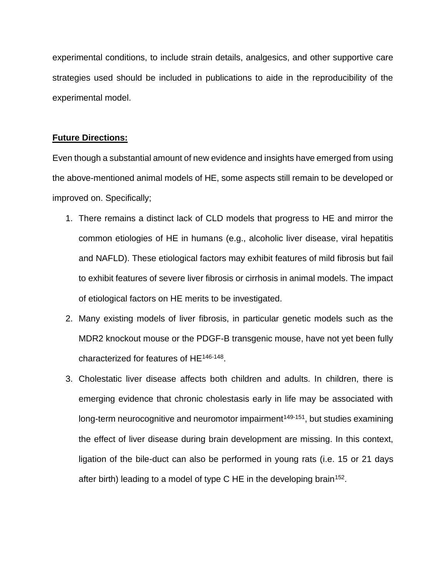experimental conditions, to include strain details, analgesics, and other supportive care strategies used should be included in publications to aide in the reproducibility of the experimental model.

## **Future Directions:**

Even though a substantial amount of new evidence and insights have emerged from using the above-mentioned animal models of HE, some aspects still remain to be developed or improved on. Specifically;

- 1. There remains a distinct lack of CLD models that progress to HE and mirror the common etiologies of HE in humans (e.g., alcoholic liver disease, viral hepatitis and NAFLD). These etiological factors may exhibit features of mild fibrosis but fail to exhibit features of severe liver fibrosis or cirrhosis in animal models. The impact of etiological factors on HE merits to be investigated.
- 2. Many existing models of liver fibrosis, in particular genetic models such as the MDR2 knockout mouse or the PDGF-B transgenic mouse, have not yet been fully characterized for features of HE<sup>146-148</sup>.
- 3. Cholestatic liver disease affects both children and adults. In children, there is emerging evidence that chronic cholestasis early in life may be associated with long-term neurocognitive and neuromotor impairment<sup>149-151</sup>, but studies examining the effect of liver disease during brain development are missing. In this context, ligation of the bile-duct can also be performed in young rats (i.e. 15 or 21 days after birth) leading to a model of type C HE in the developing brain<sup>152</sup>.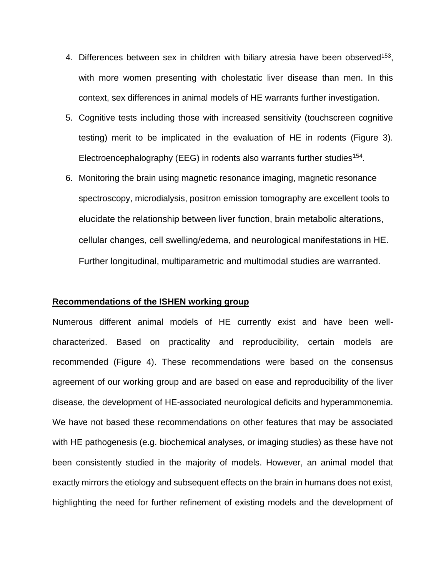- 4. Differences between sex in children with biliary atresia have been observed<sup>153</sup>, with more women presenting with cholestatic liver disease than men. In this context, sex differences in animal models of HE warrants further investigation.
- 5. Cognitive tests including those with increased sensitivity (touchscreen cognitive testing) merit to be implicated in the evaluation of HE in rodents (Figure 3). Electroencephalography (EEG) in rodents also warrants further studies<sup>154</sup>.
- 6. Monitoring the brain using magnetic resonance imaging, magnetic resonance spectroscopy, microdialysis, positron emission tomography are excellent tools to elucidate the relationship between liver function, brain metabolic alterations, cellular changes, cell swelling/edema, and neurological manifestations in HE. Further longitudinal, multiparametric and multimodal studies are warranted.

#### **Recommendations of the ISHEN working group**

Numerous different animal models of HE currently exist and have been wellcharacterized. Based on practicality and reproducibility, certain models are recommended (Figure 4). These recommendations were based on the consensus agreement of our working group and are based on ease and reproducibility of the liver disease, the development of HE-associated neurological deficits and hyperammonemia. We have not based these recommendations on other features that may be associated with HE pathogenesis (e.g. biochemical analyses, or imaging studies) as these have not been consistently studied in the majority of models. However, an animal model that exactly mirrors the etiology and subsequent effects on the brain in humans does not exist, highlighting the need for further refinement of existing models and the development of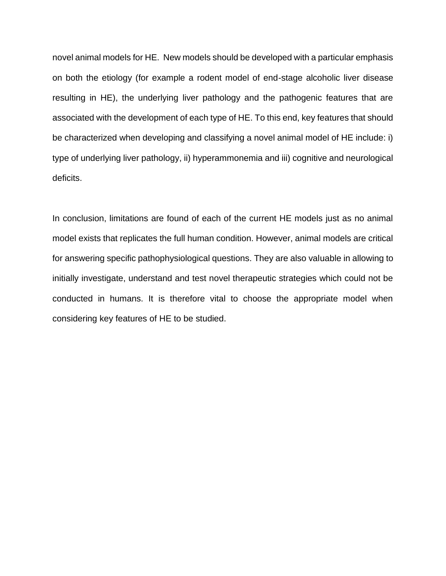novel animal models for HE. New models should be developed with a particular emphasis on both the etiology (for example a rodent model of end-stage alcoholic liver disease resulting in HE), the underlying liver pathology and the pathogenic features that are associated with the development of each type of HE. To this end, key features that should be characterized when developing and classifying a novel animal model of HE include: i) type of underlying liver pathology, ii) hyperammonemia and iii) cognitive and neurological deficits.

In conclusion, limitations are found of each of the current HE models just as no animal model exists that replicates the full human condition. However, animal models are critical for answering specific pathophysiological questions. They are also valuable in allowing to initially investigate, understand and test novel therapeutic strategies which could not be conducted in humans. It is therefore vital to choose the appropriate model when considering key features of HE to be studied.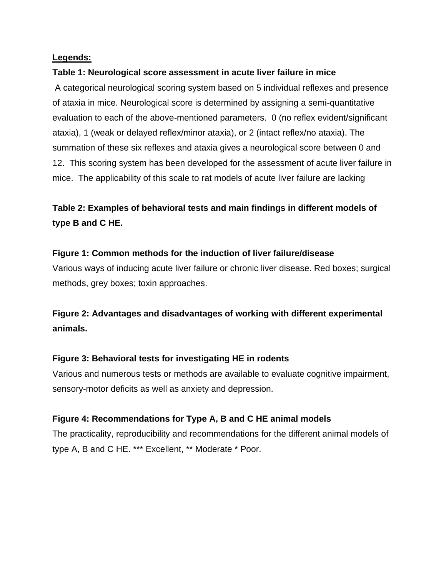# **Legends:**

## **Table 1: Neurological score assessment in acute liver failure in mice**

A categorical neurological scoring system based on 5 individual reflexes and presence of ataxia in mice. Neurological score is determined by assigning a semi-quantitative evaluation to each of the above-mentioned parameters. 0 (no reflex evident/significant ataxia), 1 (weak or delayed reflex/minor ataxia), or 2 (intact reflex/no ataxia). The summation of these six reflexes and ataxia gives a neurological score between 0 and 12. This scoring system has been developed for the assessment of acute liver failure in mice. The applicability of this scale to rat models of acute liver failure are lacking

# **Table 2: Examples of behavioral tests and main findings in different models of type B and C HE.**

# **Figure 1: Common methods for the induction of liver failure/disease**

Various ways of inducing acute liver failure or chronic liver disease. Red boxes; surgical methods, grey boxes; toxin approaches.

# **Figure 2: Advantages and disadvantages of working with different experimental animals.**

## **Figure 3: Behavioral tests for investigating HE in rodents**

Various and numerous tests or methods are available to evaluate cognitive impairment, sensory-motor deficits as well as anxiety and depression.

# **Figure 4: Recommendations for Type A, B and C HE animal models**

The practicality, reproducibility and recommendations for the different animal models of type A, B and C HE. \*\*\* Excellent, \*\* Moderate \* Poor.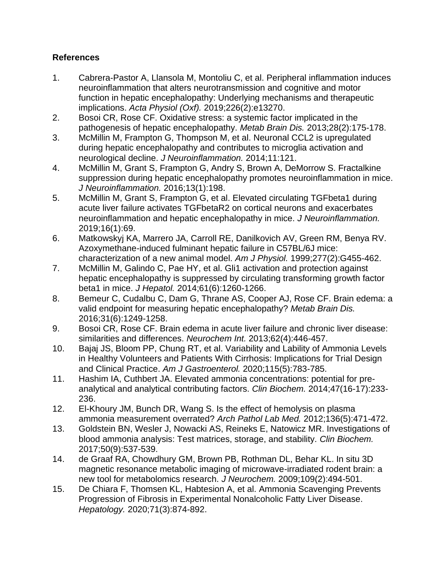# **References**

- 1. Cabrera-Pastor A, Llansola M, Montoliu C, et al. Peripheral inflammation induces neuroinflammation that alters neurotransmission and cognitive and motor function in hepatic encephalopathy: Underlying mechanisms and therapeutic implications. *Acta Physiol (Oxf).* 2019;226(2):e13270.
- 2. Bosoi CR, Rose CF. Oxidative stress: a systemic factor implicated in the pathogenesis of hepatic encephalopathy. *Metab Brain Dis.* 2013;28(2):175-178.
- 3. McMillin M, Frampton G, Thompson M, et al. Neuronal CCL2 is upregulated during hepatic encephalopathy and contributes to microglia activation and neurological decline. *J Neuroinflammation.* 2014;11:121.
- 4. McMillin M, Grant S, Frampton G, Andry S, Brown A, DeMorrow S. Fractalkine suppression during hepatic encephalopathy promotes neuroinflammation in mice. *J Neuroinflammation.* 2016;13(1):198.
- 5. McMillin M, Grant S, Frampton G, et al. Elevated circulating TGFbeta1 during acute liver failure activates TGFbetaR2 on cortical neurons and exacerbates neuroinflammation and hepatic encephalopathy in mice. *J Neuroinflammation.*  2019;16(1):69.
- 6. Matkowskyj KA, Marrero JA, Carroll RE, Danilkovich AV, Green RM, Benya RV. Azoxymethane-induced fulminant hepatic failure in C57BL/6J mice: characterization of a new animal model. *Am J Physiol.* 1999;277(2):G455-462.
- 7. McMillin M, Galindo C, Pae HY, et al. Gli1 activation and protection against hepatic encephalopathy is suppressed by circulating transforming growth factor beta1 in mice. *J Hepatol.* 2014;61(6):1260-1266.
- 8. Bemeur C, Cudalbu C, Dam G, Thrane AS, Cooper AJ, Rose CF. Brain edema: a valid endpoint for measuring hepatic encephalopathy? *Metab Brain Dis.*  2016;31(6):1249-1258.
- 9. Bosoi CR, Rose CF. Brain edema in acute liver failure and chronic liver disease: similarities and differences. *Neurochem Int.* 2013;62(4):446-457.
- 10. Bajaj JS, Bloom PP, Chung RT, et al. Variability and Lability of Ammonia Levels in Healthy Volunteers and Patients With Cirrhosis: Implications for Trial Design and Clinical Practice. *Am J Gastroenterol.* 2020;115(5):783-785.
- 11. Hashim IA, Cuthbert JA. Elevated ammonia concentrations: potential for preanalytical and analytical contributing factors. *Clin Biochem.* 2014;47(16-17):233- 236.
- 12. El-Khoury JM, Bunch DR, Wang S. Is the effect of hemolysis on plasma ammonia measurement overrated? *Arch Pathol Lab Med.* 2012;136(5):471-472.
- 13. Goldstein BN, Wesler J, Nowacki AS, Reineks E, Natowicz MR. Investigations of blood ammonia analysis: Test matrices, storage, and stability. *Clin Biochem.*  2017;50(9):537-539.
- 14. de Graaf RA, Chowdhury GM, Brown PB, Rothman DL, Behar KL. In situ 3D magnetic resonance metabolic imaging of microwave-irradiated rodent brain: a new tool for metabolomics research. *J Neurochem.* 2009;109(2):494-501.
- 15. De Chiara F, Thomsen KL, Habtesion A, et al. Ammonia Scavenging Prevents Progression of Fibrosis in Experimental Nonalcoholic Fatty Liver Disease. *Hepatology.* 2020;71(3):874-892.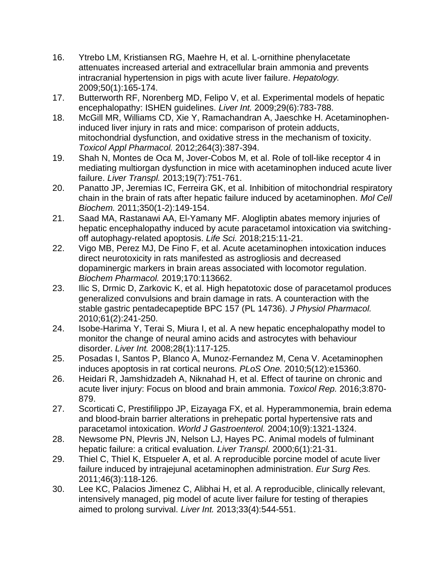- 16. Ytrebo LM, Kristiansen RG, Maehre H, et al. L-ornithine phenylacetate attenuates increased arterial and extracellular brain ammonia and prevents intracranial hypertension in pigs with acute liver failure. *Hepatology.*  2009;50(1):165-174.
- 17. Butterworth RF, Norenberg MD, Felipo V, et al. Experimental models of hepatic encephalopathy: ISHEN guidelines. *Liver Int.* 2009;29(6):783-788.
- 18. McGill MR, Williams CD, Xie Y, Ramachandran A, Jaeschke H. Acetaminopheninduced liver injury in rats and mice: comparison of protein adducts, mitochondrial dysfunction, and oxidative stress in the mechanism of toxicity. *Toxicol Appl Pharmacol.* 2012;264(3):387-394.
- 19. Shah N, Montes de Oca M, Jover-Cobos M, et al. Role of toll-like receptor 4 in mediating multiorgan dysfunction in mice with acetaminophen induced acute liver failure. *Liver Transpl.* 2013;19(7):751-761.
- 20. Panatto JP, Jeremias IC, Ferreira GK, et al. Inhibition of mitochondrial respiratory chain in the brain of rats after hepatic failure induced by acetaminophen. *Mol Cell Biochem.* 2011;350(1-2):149-154.
- 21. Saad MA, Rastanawi AA, El-Yamany MF. Alogliptin abates memory injuries of hepatic encephalopathy induced by acute paracetamol intoxication via switchingoff autophagy-related apoptosis. *Life Sci.* 2018;215:11-21.
- 22. Vigo MB, Perez MJ, De Fino F, et al. Acute acetaminophen intoxication induces direct neurotoxicity in rats manifested as astrogliosis and decreased dopaminergic markers in brain areas associated with locomotor regulation. *Biochem Pharmacol.* 2019;170:113662.
- 23. Ilic S, Drmic D, Zarkovic K, et al. High hepatotoxic dose of paracetamol produces generalized convulsions and brain damage in rats. A counteraction with the stable gastric pentadecapeptide BPC 157 (PL 14736). *J Physiol Pharmacol.*  2010;61(2):241-250.
- 24. Isobe-Harima Y, Terai S, Miura I, et al. A new hepatic encephalopathy model to monitor the change of neural amino acids and astrocytes with behaviour disorder. *Liver Int.* 2008;28(1):117-125.
- 25. Posadas I, Santos P, Blanco A, Munoz-Fernandez M, Cena V. Acetaminophen induces apoptosis in rat cortical neurons. *PLoS One.* 2010;5(12):e15360.
- 26. Heidari R, Jamshidzadeh A, Niknahad H, et al. Effect of taurine on chronic and acute liver injury: Focus on blood and brain ammonia. *Toxicol Rep.* 2016;3:870- 879.
- 27. Scorticati C, Prestifilippo JP, Eizayaga FX, et al. Hyperammonemia, brain edema and blood-brain barrier alterations in prehepatic portal hypertensive rats and paracetamol intoxication. *World J Gastroenterol.* 2004;10(9):1321-1324.
- 28. Newsome PN, Plevris JN, Nelson LJ, Hayes PC. Animal models of fulminant hepatic failure: a critical evaluation. *Liver Transpl.* 2000;6(1):21-31.
- 29. Thiel C, Thiel K, Etspueler A, et al. A reproducible porcine model of acute liver failure induced by intrajejunal acetaminophen administration. *Eur Surg Res.*  2011;46(3):118-126.
- 30. Lee KC, Palacios Jimenez C, Alibhai H, et al. A reproducible, clinically relevant, intensively managed, pig model of acute liver failure for testing of therapies aimed to prolong survival. *Liver Int.* 2013;33(4):544-551.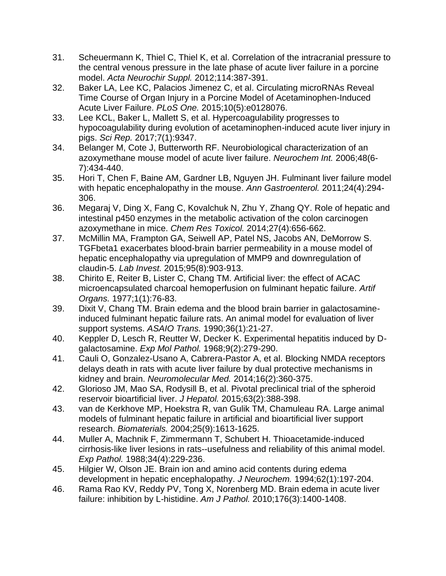- 31. Scheuermann K, Thiel C, Thiel K, et al. Correlation of the intracranial pressure to the central venous pressure in the late phase of acute liver failure in a porcine model. *Acta Neurochir Suppl.* 2012;114:387-391.
- 32. Baker LA, Lee KC, Palacios Jimenez C, et al. Circulating microRNAs Reveal Time Course of Organ Injury in a Porcine Model of Acetaminophen-Induced Acute Liver Failure. *PLoS One.* 2015;10(5):e0128076.
- 33. Lee KCL, Baker L, Mallett S, et al. Hypercoagulability progresses to hypocoagulability during evolution of acetaminophen-induced acute liver injury in pigs. *Sci Rep.* 2017;7(1):9347.
- 34. Belanger M, Cote J, Butterworth RF. Neurobiological characterization of an azoxymethane mouse model of acute liver failure. *Neurochem Int.* 2006;48(6- 7):434-440.
- 35. Hori T, Chen F, Baine AM, Gardner LB, Nguyen JH. Fulminant liver failure model with hepatic encephalopathy in the mouse. *Ann Gastroenterol.* 2011;24(4):294- 306.
- 36. Megaraj V, Ding X, Fang C, Kovalchuk N, Zhu Y, Zhang QY. Role of hepatic and intestinal p450 enzymes in the metabolic activation of the colon carcinogen azoxymethane in mice. *Chem Res Toxicol.* 2014;27(4):656-662.
- 37. McMillin MA, Frampton GA, Seiwell AP, Patel NS, Jacobs AN, DeMorrow S. TGFbeta1 exacerbates blood-brain barrier permeability in a mouse model of hepatic encephalopathy via upregulation of MMP9 and downregulation of claudin-5. *Lab Invest.* 2015;95(8):903-913.
- 38. Chirito E, Reiter B, Lister C, Chang TM. Artificial liver: the effect of ACAC microencapsulated charcoal hemoperfusion on fulminant hepatic failure. *Artif Organs.* 1977;1(1):76-83.
- 39. Dixit V, Chang TM. Brain edema and the blood brain barrier in galactosamineinduced fulminant hepatic failure rats. An animal model for evaluation of liver support systems. *ASAIO Trans.* 1990;36(1):21-27.
- 40. Keppler D, Lesch R, Reutter W, Decker K. Experimental hepatitis induced by Dgalactosamine. *Exp Mol Pathol.* 1968;9(2):279-290.
- 41. Cauli O, Gonzalez-Usano A, Cabrera-Pastor A, et al. Blocking NMDA receptors delays death in rats with acute liver failure by dual protective mechanisms in kidney and brain. *Neuromolecular Med.* 2014;16(2):360-375.
- 42. Glorioso JM, Mao SA, Rodysill B, et al. Pivotal preclinical trial of the spheroid reservoir bioartificial liver. *J Hepatol.* 2015;63(2):388-398.
- 43. van de Kerkhove MP, Hoekstra R, van Gulik TM, Chamuleau RA. Large animal models of fulminant hepatic failure in artificial and bioartificial liver support research. *Biomaterials.* 2004;25(9):1613-1625.
- 44. Muller A, Machnik F, Zimmermann T, Schubert H. Thioacetamide-induced cirrhosis-like liver lesions in rats--usefulness and reliability of this animal model. *Exp Pathol.* 1988;34(4):229-236.
- 45. Hilgier W, Olson JE. Brain ion and amino acid contents during edema development in hepatic encephalopathy. *J Neurochem.* 1994;62(1):197-204.
- 46. Rama Rao KV, Reddy PV, Tong X, Norenberg MD. Brain edema in acute liver failure: inhibition by L-histidine. *Am J Pathol.* 2010;176(3):1400-1408.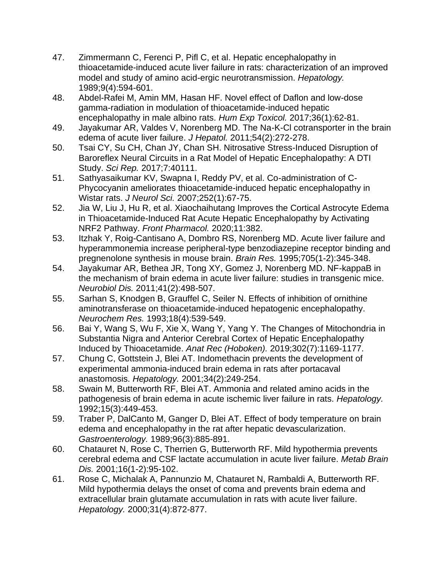- 47. Zimmermann C, Ferenci P, Pifl C, et al. Hepatic encephalopathy in thioacetamide-induced acute liver failure in rats: characterization of an improved model and study of amino acid-ergic neurotransmission. *Hepatology.*  1989;9(4):594-601.
- 48. Abdel-Rafei M, Amin MM, Hasan HF. Novel effect of Daflon and low-dose gamma-radiation in modulation of thioacetamide-induced hepatic encephalopathy in male albino rats. *Hum Exp Toxicol.* 2017;36(1):62-81.
- 49. Jayakumar AR, Valdes V, Norenberg MD. The Na-K-Cl cotransporter in the brain edema of acute liver failure. *J Hepatol.* 2011;54(2):272-278.
- 50. Tsai CY, Su CH, Chan JY, Chan SH. Nitrosative Stress-Induced Disruption of Baroreflex Neural Circuits in a Rat Model of Hepatic Encephalopathy: A DTI Study. *Sci Rep.* 2017;7:40111.
- 51. Sathyasaikumar KV, Swapna I, Reddy PV, et al. Co-administration of C-Phycocyanin ameliorates thioacetamide-induced hepatic encephalopathy in Wistar rats. *J Neurol Sci.* 2007;252(1):67-75.
- 52. Jia W, Liu J, Hu R, et al. Xiaochaihutang Improves the Cortical Astrocyte Edema in Thioacetamide-Induced Rat Acute Hepatic Encephalopathy by Activating NRF2 Pathway. *Front Pharmacol.* 2020;11:382.
- 53. Itzhak Y, Roig-Cantisano A, Dombro RS, Norenberg MD. Acute liver failure and hyperammonemia increase peripheral-type benzodiazepine receptor binding and pregnenolone synthesis in mouse brain. *Brain Res.* 1995;705(1-2):345-348.
- 54. Jayakumar AR, Bethea JR, Tong XY, Gomez J, Norenberg MD. NF-kappaB in the mechanism of brain edema in acute liver failure: studies in transgenic mice. *Neurobiol Dis.* 2011;41(2):498-507.
- 55. Sarhan S, Knodgen B, Grauffel C, Seiler N. Effects of inhibition of ornithine aminotransferase on thioacetamide-induced hepatogenic encephalopathy. *Neurochem Res.* 1993;18(4):539-549.
- 56. Bai Y, Wang S, Wu F, Xie X, Wang Y, Yang Y. The Changes of Mitochondria in Substantia Nigra and Anterior Cerebral Cortex of Hepatic Encephalopathy Induced by Thioacetamide. *Anat Rec (Hoboken).* 2019;302(7):1169-1177.
- 57. Chung C, Gottstein J, Blei AT. Indomethacin prevents the development of experimental ammonia-induced brain edema in rats after portacaval anastomosis. *Hepatology.* 2001;34(2):249-254.
- 58. Swain M, Butterworth RF, Blei AT. Ammonia and related amino acids in the pathogenesis of brain edema in acute ischemic liver failure in rats. *Hepatology.*  1992;15(3):449-453.
- 59. Traber P, DalCanto M, Ganger D, Blei AT. Effect of body temperature on brain edema and encephalopathy in the rat after hepatic devascularization. *Gastroenterology.* 1989;96(3):885-891.
- 60. Chatauret N, Rose C, Therrien G, Butterworth RF. Mild hypothermia prevents cerebral edema and CSF lactate accumulation in acute liver failure. *Metab Brain Dis.* 2001;16(1-2):95-102.
- 61. Rose C, Michalak A, Pannunzio M, Chatauret N, Rambaldi A, Butterworth RF. Mild hypothermia delays the onset of coma and prevents brain edema and extracellular brain glutamate accumulation in rats with acute liver failure. *Hepatology.* 2000;31(4):872-877.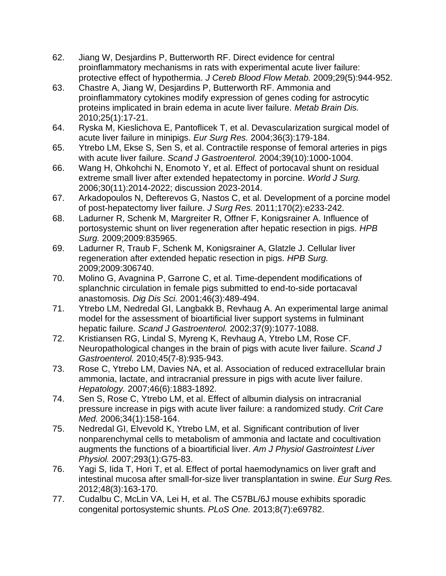- 62. Jiang W, Desjardins P, Butterworth RF. Direct evidence for central proinflammatory mechanisms in rats with experimental acute liver failure: protective effect of hypothermia. *J Cereb Blood Flow Metab.* 2009;29(5):944-952.
- 63. Chastre A, Jiang W, Desjardins P, Butterworth RF. Ammonia and proinflammatory cytokines modify expression of genes coding for astrocytic proteins implicated in brain edema in acute liver failure. *Metab Brain Dis.*  2010;25(1):17-21.
- 64. Ryska M, Kieslichova E, Pantoflicek T, et al. Devascularization surgical model of acute liver failure in minipigs. *Eur Surg Res.* 2004;36(3):179-184.
- 65. Ytrebo LM, Ekse S, Sen S, et al. Contractile response of femoral arteries in pigs with acute liver failure. *Scand J Gastroenterol.* 2004;39(10):1000-1004.
- 66. Wang H, Ohkohchi N, Enomoto Y, et al. Effect of portocaval shunt on residual extreme small liver after extended hepatectomy in porcine. *World J Surg.*  2006;30(11):2014-2022; discussion 2023-2014.
- 67. Arkadopoulos N, Defterevos G, Nastos C, et al. Development of a porcine model of post-hepatectomy liver failure. *J Surg Res.* 2011;170(2):e233-242.
- 68. Ladurner R, Schenk M, Margreiter R, Offner F, Konigsrainer A. Influence of portosystemic shunt on liver regeneration after hepatic resection in pigs. *HPB Surg.* 2009;2009:835965.
- 69. Ladurner R, Traub F, Schenk M, Konigsrainer A, Glatzle J. Cellular liver regeneration after extended hepatic resection in pigs. *HPB Surg.*  2009;2009:306740.
- 70. Molino G, Avagnina P, Garrone C, et al. Time-dependent modifications of splanchnic circulation in female pigs submitted to end-to-side portacaval anastomosis. *Dig Dis Sci.* 2001;46(3):489-494.
- 71. Ytrebo LM, Nedredal GI, Langbakk B, Revhaug A. An experimental large animal model for the assessment of bioartificial liver support systems in fulminant hepatic failure. *Scand J Gastroenterol.* 2002;37(9):1077-1088.
- 72. Kristiansen RG, Lindal S, Myreng K, Revhaug A, Ytrebo LM, Rose CF. Neuropathological changes in the brain of pigs with acute liver failure. *Scand J Gastroenterol.* 2010;45(7-8):935-943.
- 73. Rose C, Ytrebo LM, Davies NA, et al. Association of reduced extracellular brain ammonia, lactate, and intracranial pressure in pigs with acute liver failure. *Hepatology.* 2007;46(6):1883-1892.
- 74. Sen S, Rose C, Ytrebo LM, et al. Effect of albumin dialysis on intracranial pressure increase in pigs with acute liver failure: a randomized study. *Crit Care Med.* 2006;34(1):158-164.
- 75. Nedredal GI, Elvevold K, Ytrebo LM, et al. Significant contribution of liver nonparenchymal cells to metabolism of ammonia and lactate and cocultivation augments the functions of a bioartificial liver. *Am J Physiol Gastrointest Liver Physiol.* 2007;293(1):G75-83.
- 76. Yagi S, Iida T, Hori T, et al. Effect of portal haemodynamics on liver graft and intestinal mucosa after small-for-size liver transplantation in swine. *Eur Surg Res.*  2012;48(3):163-170.
- 77. Cudalbu C, McLin VA, Lei H, et al. The C57BL/6J mouse exhibits sporadic congenital portosystemic shunts. *PLoS One.* 2013;8(7):e69782.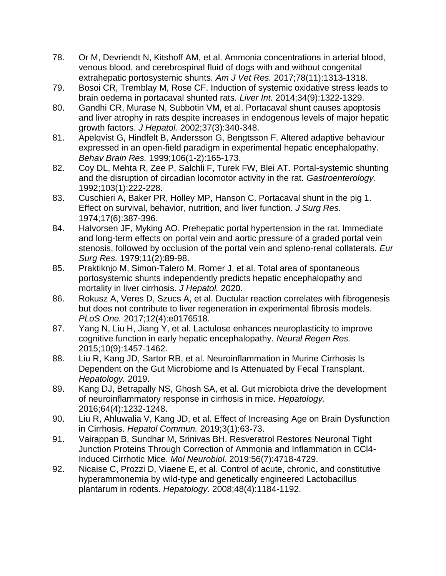- 78. Or M, Devriendt N, Kitshoff AM, et al. Ammonia concentrations in arterial blood, venous blood, and cerebrospinal fluid of dogs with and without congenital extrahepatic portosystemic shunts. *Am J Vet Res.* 2017;78(11):1313-1318.
- 79. Bosoi CR, Tremblay M, Rose CF. Induction of systemic oxidative stress leads to brain oedema in portacaval shunted rats. *Liver Int.* 2014;34(9):1322-1329.
- 80. Gandhi CR, Murase N, Subbotin VM, et al. Portacaval shunt causes apoptosis and liver atrophy in rats despite increases in endogenous levels of major hepatic growth factors. *J Hepatol.* 2002;37(3):340-348.
- 81. Apelqvist G, Hindfelt B, Andersson G, Bengtsson F. Altered adaptive behaviour expressed in an open-field paradigm in experimental hepatic encephalopathy. *Behav Brain Res.* 1999;106(1-2):165-173.
- 82. Coy DL, Mehta R, Zee P, Salchli F, Turek FW, Blei AT. Portal-systemic shunting and the disruption of circadian locomotor activity in the rat. *Gastroenterology.*  1992;103(1):222-228.
- 83. Cuschieri A, Baker PR, Holley MP, Hanson C. Portacaval shunt in the pig 1. Effect on survival, behavior, nutrition, and liver function. *J Surg Res.*  1974;17(6):387-396.
- 84. Halvorsen JF, Myking AO. Prehepatic portal hypertension in the rat. Immediate and long-term effects on portal vein and aortic pressure of a graded portal vein stenosis, followed by occlusion of the portal vein and spleno-renal collaterals. *Eur Surg Res.* 1979;11(2):89-98.
- 85. Praktiknjo M, Simon-Talero M, Romer J, et al. Total area of spontaneous portosystemic shunts independently predicts hepatic encephalopathy and mortality in liver cirrhosis. *J Hepatol.* 2020.
- 86. Rokusz A, Veres D, Szucs A, et al. Ductular reaction correlates with fibrogenesis but does not contribute to liver regeneration in experimental fibrosis models. *PLoS One.* 2017;12(4):e0176518.
- 87. Yang N, Liu H, Jiang Y, et al. Lactulose enhances neuroplasticity to improve cognitive function in early hepatic encephalopathy. *Neural Regen Res.*  2015;10(9):1457-1462.
- 88. Liu R, Kang JD, Sartor RB, et al. Neuroinflammation in Murine Cirrhosis Is Dependent on the Gut Microbiome and Is Attenuated by Fecal Transplant. *Hepatology.* 2019.
- 89. Kang DJ, Betrapally NS, Ghosh SA, et al. Gut microbiota drive the development of neuroinflammatory response in cirrhosis in mice. *Hepatology.*  2016;64(4):1232-1248.
- 90. Liu R, Ahluwalia V, Kang JD, et al. Effect of Increasing Age on Brain Dysfunction in Cirrhosis. *Hepatol Commun.* 2019;3(1):63-73.
- 91. Vairappan B, Sundhar M, Srinivas BH. Resveratrol Restores Neuronal Tight Junction Proteins Through Correction of Ammonia and Inflammation in CCl4- Induced Cirrhotic Mice. *Mol Neurobiol.* 2019;56(7):4718-4729.
- 92. Nicaise C, Prozzi D, Viaene E, et al. Control of acute, chronic, and constitutive hyperammonemia by wild-type and genetically engineered Lactobacillus plantarum in rodents. *Hepatology.* 2008;48(4):1184-1192.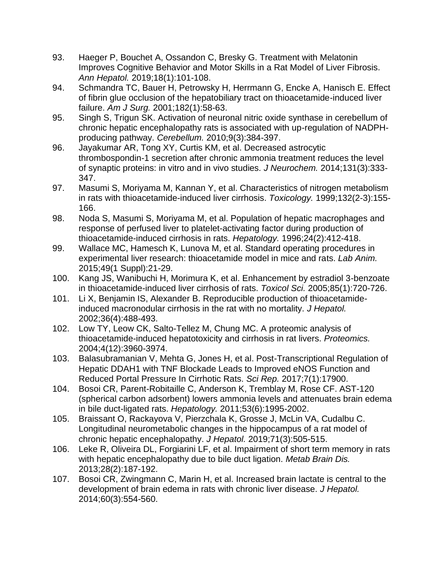- 93. Haeger P, Bouchet A, Ossandon C, Bresky G. Treatment with Melatonin Improves Cognitive Behavior and Motor Skills in a Rat Model of Liver Fibrosis. *Ann Hepatol.* 2019;18(1):101-108.
- 94. Schmandra TC, Bauer H, Petrowsky H, Herrmann G, Encke A, Hanisch E. Effect of fibrin glue occlusion of the hepatobiliary tract on thioacetamide-induced liver failure. *Am J Surg.* 2001;182(1):58-63.
- 95. Singh S, Trigun SK. Activation of neuronal nitric oxide synthase in cerebellum of chronic hepatic encephalopathy rats is associated with up-regulation of NADPHproducing pathway. *Cerebellum.* 2010;9(3):384-397.
- 96. Jayakumar AR, Tong XY, Curtis KM, et al. Decreased astrocytic thrombospondin-1 secretion after chronic ammonia treatment reduces the level of synaptic proteins: in vitro and in vivo studies. *J Neurochem.* 2014;131(3):333- 347.
- 97. Masumi S, Moriyama M, Kannan Y, et al. Characteristics of nitrogen metabolism in rats with thioacetamide-induced liver cirrhosis. *Toxicology.* 1999;132(2-3):155- 166.
- 98. Noda S, Masumi S, Moriyama M, et al. Population of hepatic macrophages and response of perfused liver to platelet-activating factor during production of thioacetamide-induced cirrhosis in rats. *Hepatology.* 1996;24(2):412-418.
- 99. Wallace MC, Hamesch K, Lunova M, et al. Standard operating procedures in experimental liver research: thioacetamide model in mice and rats. *Lab Anim.*  2015;49(1 Suppl):21-29.
- 100. Kang JS, Wanibuchi H, Morimura K, et al. Enhancement by estradiol 3-benzoate in thioacetamide-induced liver cirrhosis of rats. *Toxicol Sci.* 2005;85(1):720-726.
- 101. Li X, Benjamin IS, Alexander B. Reproducible production of thioacetamideinduced macronodular cirrhosis in the rat with no mortality. *J Hepatol.*  2002;36(4):488-493.
- 102. Low TY, Leow CK, Salto-Tellez M, Chung MC. A proteomic analysis of thioacetamide-induced hepatotoxicity and cirrhosis in rat livers. *Proteomics.*  2004;4(12):3960-3974.
- 103. Balasubramanian V, Mehta G, Jones H, et al. Post-Transcriptional Regulation of Hepatic DDAH1 with TNF Blockade Leads to Improved eNOS Function and Reduced Portal Pressure In Cirrhotic Rats. *Sci Rep.* 2017;7(1):17900.
- 104. Bosoi CR, Parent-Robitaille C, Anderson K, Tremblay M, Rose CF. AST-120 (spherical carbon adsorbent) lowers ammonia levels and attenuates brain edema in bile duct-ligated rats. *Hepatology.* 2011;53(6):1995-2002.
- 105. Braissant O, Rackayova V, Pierzchala K, Grosse J, McLin VA, Cudalbu C. Longitudinal neurometabolic changes in the hippocampus of a rat model of chronic hepatic encephalopathy. *J Hepatol.* 2019;71(3):505-515.
- 106. Leke R, Oliveira DL, Forgiarini LF, et al. Impairment of short term memory in rats with hepatic encephalopathy due to bile duct ligation. *Metab Brain Dis.*  2013;28(2):187-192.
- 107. Bosoi CR, Zwingmann C, Marin H, et al. Increased brain lactate is central to the development of brain edema in rats with chronic liver disease. *J Hepatol.*  2014;60(3):554-560.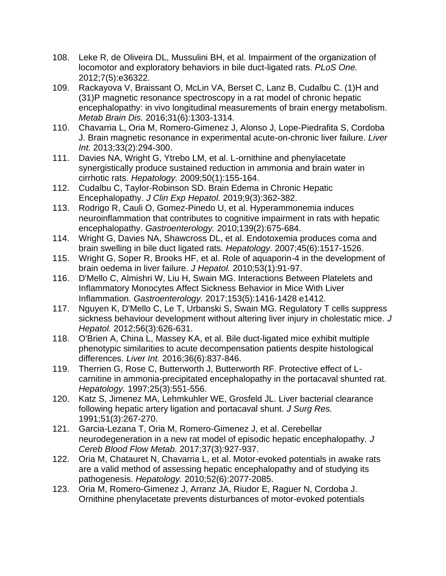- 108. Leke R, de Oliveira DL, Mussulini BH, et al. Impairment of the organization of locomotor and exploratory behaviors in bile duct-ligated rats. *PLoS One.*  2012;7(5):e36322.
- 109. Rackayova V, Braissant O, McLin VA, Berset C, Lanz B, Cudalbu C. (1)H and (31)P magnetic resonance spectroscopy in a rat model of chronic hepatic encephalopathy: in vivo longitudinal measurements of brain energy metabolism. *Metab Brain Dis.* 2016;31(6):1303-1314.
- 110. Chavarria L, Oria M, Romero-Gimenez J, Alonso J, Lope-Piedrafita S, Cordoba J. Brain magnetic resonance in experimental acute-on-chronic liver failure. *Liver Int.* 2013;33(2):294-300.
- 111. Davies NA, Wright G, Ytrebo LM, et al. L-ornithine and phenylacetate synergistically produce sustained reduction in ammonia and brain water in cirrhotic rats. *Hepatology.* 2009;50(1):155-164.
- 112. Cudalbu C, Taylor-Robinson SD. Brain Edema in Chronic Hepatic Encephalopathy. *J Clin Exp Hepatol.* 2019;9(3):362-382.
- 113. Rodrigo R, Cauli O, Gomez-Pinedo U, et al. Hyperammonemia induces neuroinflammation that contributes to cognitive impairment in rats with hepatic encephalopathy. *Gastroenterology.* 2010;139(2):675-684.
- 114. Wright G, Davies NA, Shawcross DL, et al. Endotoxemia produces coma and brain swelling in bile duct ligated rats. *Hepatology.* 2007;45(6):1517-1526.
- 115. Wright G, Soper R, Brooks HF, et al. Role of aquaporin-4 in the development of brain oedema in liver failure. *J Hepatol.* 2010;53(1):91-97.
- 116. D'Mello C, Almishri W, Liu H, Swain MG. Interactions Between Platelets and Inflammatory Monocytes Affect Sickness Behavior in Mice With Liver Inflammation. *Gastroenterology.* 2017;153(5):1416-1428 e1412.
- 117. Nguyen K, D'Mello C, Le T, Urbanski S, Swain MG. Regulatory T cells suppress sickness behaviour development without altering liver injury in cholestatic mice. *J Hepatol.* 2012;56(3):626-631.
- 118. O'Brien A, China L, Massey KA, et al. Bile duct-ligated mice exhibit multiple phenotypic similarities to acute decompensation patients despite histological differences. *Liver Int.* 2016;36(6):837-846.
- 119. Therrien G, Rose C, Butterworth J, Butterworth RF. Protective effect of Lcarnitine in ammonia-precipitated encephalopathy in the portacaval shunted rat. *Hepatology.* 1997;25(3):551-556.
- 120. Katz S, Jimenez MA, Lehmkuhler WE, Grosfeld JL. Liver bacterial clearance following hepatic artery ligation and portacaval shunt. *J Surg Res.*  1991;51(3):267-270.
- 121. Garcia-Lezana T, Oria M, Romero-Gimenez J, et al. Cerebellar neurodegeneration in a new rat model of episodic hepatic encephalopathy. *J Cereb Blood Flow Metab.* 2017;37(3):927-937.
- 122. Oria M, Chatauret N, Chavarria L, et al. Motor-evoked potentials in awake rats are a valid method of assessing hepatic encephalopathy and of studying its pathogenesis. *Hepatology.* 2010;52(6):2077-2085.
- 123. Oria M, Romero-Gimenez J, Arranz JA, Riudor E, Raguer N, Cordoba J. Ornithine phenylacetate prevents disturbances of motor-evoked potentials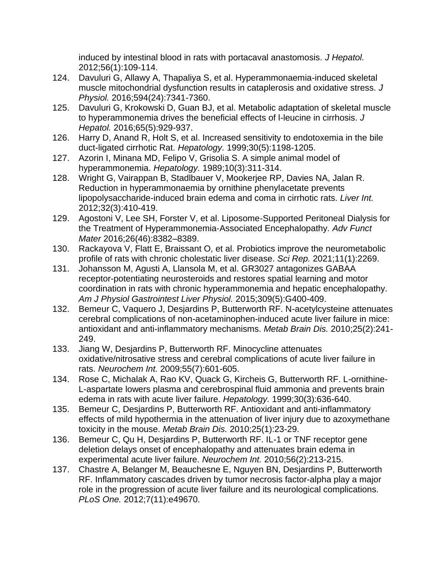induced by intestinal blood in rats with portacaval anastomosis. *J Hepatol.*  2012;56(1):109-114.

- 124. Davuluri G, Allawy A, Thapaliya S, et al. Hyperammonaemia-induced skeletal muscle mitochondrial dysfunction results in cataplerosis and oxidative stress. *J Physiol.* 2016;594(24):7341-7360.
- 125. Davuluri G, Krokowski D, Guan BJ, et al. Metabolic adaptation of skeletal muscle to hyperammonemia drives the beneficial effects of l-leucine in cirrhosis. *J Hepatol.* 2016;65(5):929-937.
- 126. Harry D, Anand R, Holt S, et al. Increased sensitivity to endotoxemia in the bile duct-ligated cirrhotic Rat. *Hepatology.* 1999;30(5):1198-1205.
- 127. Azorin I, Minana MD, Felipo V, Grisolia S. A simple animal model of hyperammonemia. *Hepatology.* 1989;10(3):311-314.
- 128. Wright G, Vairappan B, Stadlbauer V, Mookerjee RP, Davies NA, Jalan R. Reduction in hyperammonaemia by ornithine phenylacetate prevents lipopolysaccharide-induced brain edema and coma in cirrhotic rats. *Liver Int.*  2012;32(3):410-419.
- 129. Agostoni V, Lee SH, Forster V, et al. Liposome-Supported Peritoneal Dialysis for the Treatment of Hyperammonemia‐Associated Encephalopathy. *Adv Funct Mater* 2016;26(46):8382–8389.
- 130. Rackayova V, Flatt E, Braissant O, et al. Probiotics improve the neurometabolic profile of rats with chronic cholestatic liver disease. *Sci Rep.* 2021;11(1):2269.
- 131. Johansson M, Agusti A, Llansola M, et al. GR3027 antagonizes GABAA receptor-potentiating neurosteroids and restores spatial learning and motor coordination in rats with chronic hyperammonemia and hepatic encephalopathy. *Am J Physiol Gastrointest Liver Physiol.* 2015;309(5):G400-409.
- 132. Bemeur C, Vaquero J, Desjardins P, Butterworth RF. N-acetylcysteine attenuates cerebral complications of non-acetaminophen-induced acute liver failure in mice: antioxidant and anti-inflammatory mechanisms. *Metab Brain Dis.* 2010;25(2):241- 249.
- 133. Jiang W, Desjardins P, Butterworth RF. Minocycline attenuates oxidative/nitrosative stress and cerebral complications of acute liver failure in rats. *Neurochem Int.* 2009;55(7):601-605.
- 134. Rose C, Michalak A, Rao KV, Quack G, Kircheis G, Butterworth RF. L-ornithine-L-aspartate lowers plasma and cerebrospinal fluid ammonia and prevents brain edema in rats with acute liver failure. *Hepatology.* 1999;30(3):636-640.
- 135. Bemeur C, Desjardins P, Butterworth RF. Antioxidant and anti-inflammatory effects of mild hypothermia in the attenuation of liver injury due to azoxymethane toxicity in the mouse. *Metab Brain Dis.* 2010;25(1):23-29.
- 136. Bemeur C, Qu H, Desjardins P, Butterworth RF. IL-1 or TNF receptor gene deletion delays onset of encephalopathy and attenuates brain edema in experimental acute liver failure. *Neurochem Int.* 2010;56(2):213-215.
- 137. Chastre A, Belanger M, Beauchesne E, Nguyen BN, Desjardins P, Butterworth RF. Inflammatory cascades driven by tumor necrosis factor-alpha play a major role in the progression of acute liver failure and its neurological complications. *PLoS One.* 2012;7(11):e49670.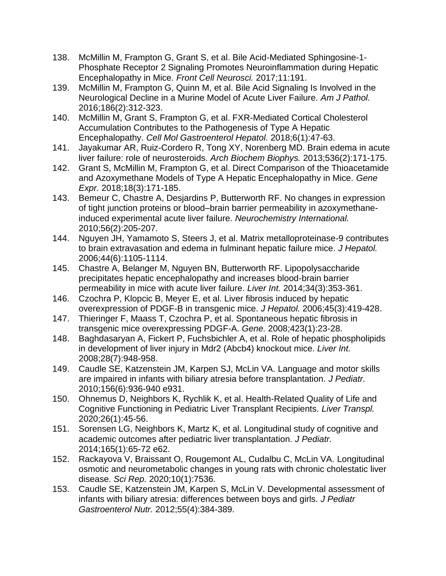- 138. McMillin M, Frampton G, Grant S, et al. Bile Acid-Mediated Sphingosine-1- Phosphate Receptor 2 Signaling Promotes Neuroinflammation during Hepatic Encephalopathy in Mice. *Front Cell Neurosci.* 2017;11:191.
- 139. McMillin M, Frampton G, Quinn M, et al. Bile Acid Signaling Is Involved in the Neurological Decline in a Murine Model of Acute Liver Failure. *Am J Pathol.*  2016;186(2):312-323.
- 140. McMillin M, Grant S, Frampton G, et al. FXR-Mediated Cortical Cholesterol Accumulation Contributes to the Pathogenesis of Type A Hepatic Encephalopathy. *Cell Mol Gastroenterol Hepatol.* 2018;6(1):47-63.
- 141. Jayakumar AR, Ruiz-Cordero R, Tong XY, Norenberg MD. Brain edema in acute liver failure: role of neurosteroids. *Arch Biochem Biophys.* 2013;536(2):171-175.
- 142. Grant S, McMillin M, Frampton G, et al. Direct Comparison of the Thioacetamide and Azoxymethane Models of Type A Hepatic Encephalopathy in Mice. *Gene Expr.* 2018;18(3):171-185.
- 143. Bemeur C, Chastre A, Desjardins P, Butterworth RF. No changes in expression of tight junction proteins or blood–brain barrier permeability in azoxymethaneinduced experimental acute liver failure. *Neurochemistry International.*  2010;56(2):205-207.
- 144. Nguyen JH, Yamamoto S, Steers J, et al. Matrix metalloproteinase-9 contributes to brain extravasation and edema in fulminant hepatic failure mice. *J Hepatol.*  2006;44(6):1105-1114.
- 145. Chastre A, Belanger M, Nguyen BN, Butterworth RF. Lipopolysaccharide precipitates hepatic encephalopathy and increases blood-brain barrier permeability in mice with acute liver failure. *Liver Int.* 2014;34(3):353-361.
- 146. Czochra P, Klopcic B, Meyer E, et al. Liver fibrosis induced by hepatic overexpression of PDGF-B in transgenic mice. *J Hepatol.* 2006;45(3):419-428.
- 147. Thieringer F, Maass T, Czochra P, et al. Spontaneous hepatic fibrosis in transgenic mice overexpressing PDGF-A. *Gene.* 2008;423(1):23-28.
- 148. Baghdasaryan A, Fickert P, Fuchsbichler A, et al. Role of hepatic phospholipids in development of liver injury in Mdr2 (Abcb4) knockout mice. *Liver Int.*  2008;28(7):948-958.
- 149. Caudle SE, Katzenstein JM, Karpen SJ, McLin VA. Language and motor skills are impaired in infants with biliary atresia before transplantation. *J Pediatr.*  2010;156(6):936-940 e931.
- 150. Ohnemus D, Neighbors K, Rychlik K, et al. Health-Related Quality of Life and Cognitive Functioning in Pediatric Liver Transplant Recipients. *Liver Transpl.*  2020;26(1):45-56.
- 151. Sorensen LG, Neighbors K, Martz K, et al. Longitudinal study of cognitive and academic outcomes after pediatric liver transplantation. *J Pediatr.*  2014;165(1):65-72 e62.
- 152. Rackayova V, Braissant O, Rougemont AL, Cudalbu C, McLin VA. Longitudinal osmotic and neurometabolic changes in young rats with chronic cholestatic liver disease. *Sci Rep.* 2020;10(1):7536.
- 153. Caudle SE, Katzenstein JM, Karpen S, McLin V. Developmental assessment of infants with biliary atresia: differences between boys and girls. *J Pediatr Gastroenterol Nutr.* 2012;55(4):384-389.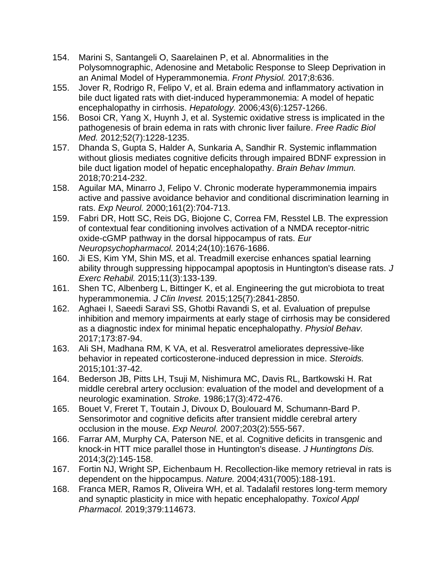- 154. Marini S, Santangeli O, Saarelainen P, et al. Abnormalities in the Polysomnographic, Adenosine and Metabolic Response to Sleep Deprivation in an Animal Model of Hyperammonemia. *Front Physiol.* 2017;8:636.
- 155. Jover R, Rodrigo R, Felipo V, et al. Brain edema and inflammatory activation in bile duct ligated rats with diet-induced hyperammonemia: A model of hepatic encephalopathy in cirrhosis. *Hepatology.* 2006;43(6):1257-1266.
- 156. Bosoi CR, Yang X, Huynh J, et al. Systemic oxidative stress is implicated in the pathogenesis of brain edema in rats with chronic liver failure. *Free Radic Biol Med.* 2012;52(7):1228-1235.
- 157. Dhanda S, Gupta S, Halder A, Sunkaria A, Sandhir R. Systemic inflammation without gliosis mediates cognitive deficits through impaired BDNF expression in bile duct ligation model of hepatic encephalopathy. *Brain Behav Immun.*  2018;70:214-232.
- 158. Aguilar MA, Minarro J, Felipo V. Chronic moderate hyperammonemia impairs active and passive avoidance behavior and conditional discrimination learning in rats. *Exp Neurol.* 2000;161(2):704-713.
- 159. Fabri DR, Hott SC, Reis DG, Biojone C, Correa FM, Resstel LB. The expression of contextual fear conditioning involves activation of a NMDA receptor-nitric oxide-cGMP pathway in the dorsal hippocampus of rats. *Eur Neuropsychopharmacol.* 2014;24(10):1676-1686.
- 160. Ji ES, Kim YM, Shin MS, et al. Treadmill exercise enhances spatial learning ability through suppressing hippocampal apoptosis in Huntington's disease rats. *J Exerc Rehabil.* 2015;11(3):133-139.
- 161. Shen TC, Albenberg L, Bittinger K, et al. Engineering the gut microbiota to treat hyperammonemia. *J Clin Invest.* 2015;125(7):2841-2850.
- 162. Aghaei I, Saeedi Saravi SS, Ghotbi Ravandi S, et al. Evaluation of prepulse inhibition and memory impairments at early stage of cirrhosis may be considered as a diagnostic index for minimal hepatic encephalopathy. *Physiol Behav.*  2017;173:87-94.
- 163. Ali SH, Madhana RM, K VA, et al. Resveratrol ameliorates depressive-like behavior in repeated corticosterone-induced depression in mice. *Steroids.*  2015;101:37-42.
- 164. Bederson JB, Pitts LH, Tsuji M, Nishimura MC, Davis RL, Bartkowski H. Rat middle cerebral artery occlusion: evaluation of the model and development of a neurologic examination. *Stroke.* 1986;17(3):472-476.
- 165. Bouet V, Freret T, Toutain J, Divoux D, Boulouard M, Schumann-Bard P. Sensorimotor and cognitive deficits after transient middle cerebral artery occlusion in the mouse. *Exp Neurol.* 2007;203(2):555-567.
- 166. Farrar AM, Murphy CA, Paterson NE, et al. Cognitive deficits in transgenic and knock-in HTT mice parallel those in Huntington's disease. *J Huntingtons Dis.*  2014;3(2):145-158.
- 167. Fortin NJ, Wright SP, Eichenbaum H. Recollection-like memory retrieval in rats is dependent on the hippocampus. *Nature.* 2004;431(7005):188-191.
- 168. Franca MER, Ramos R, Oliveira WH, et al. Tadalafil restores long-term memory and synaptic plasticity in mice with hepatic encephalopathy. *Toxicol Appl Pharmacol.* 2019;379:114673.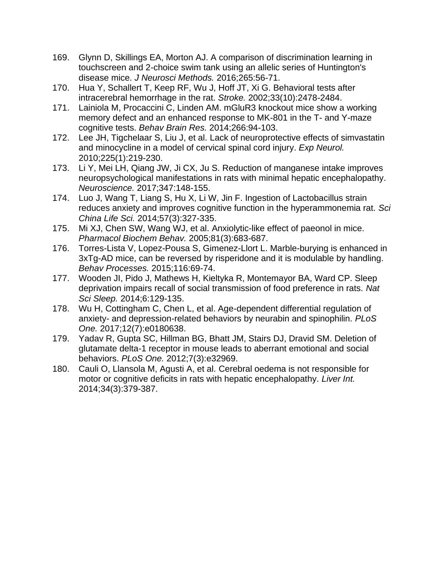- 169. Glynn D, Skillings EA, Morton AJ. A comparison of discrimination learning in touchscreen and 2-choice swim tank using an allelic series of Huntington's disease mice. *J Neurosci Methods.* 2016;265:56-71.
- 170. Hua Y, Schallert T, Keep RF, Wu J, Hoff JT, Xi G. Behavioral tests after intracerebral hemorrhage in the rat. *Stroke.* 2002;33(10):2478-2484.
- 171. Lainiola M, Procaccini C, Linden AM. mGluR3 knockout mice show a working memory defect and an enhanced response to MK-801 in the T- and Y-maze cognitive tests. *Behav Brain Res.* 2014;266:94-103.
- 172. Lee JH, Tigchelaar S, Liu J, et al. Lack of neuroprotective effects of simvastatin and minocycline in a model of cervical spinal cord injury. *Exp Neurol.*  2010;225(1):219-230.
- 173. Li Y, Mei LH, Qiang JW, Ji CX, Ju S. Reduction of manganese intake improves neuropsychological manifestations in rats with minimal hepatic encephalopathy. *Neuroscience.* 2017;347:148-155.
- 174. Luo J, Wang T, Liang S, Hu X, Li W, Jin F. Ingestion of Lactobacillus strain reduces anxiety and improves cognitive function in the hyperammonemia rat. *Sci China Life Sci.* 2014;57(3):327-335.
- 175. Mi XJ, Chen SW, Wang WJ, et al. Anxiolytic-like effect of paeonol in mice. *Pharmacol Biochem Behav.* 2005;81(3):683-687.
- 176. Torres-Lista V, Lopez-Pousa S, Gimenez-Llort L. Marble-burying is enhanced in 3xTg-AD mice, can be reversed by risperidone and it is modulable by handling. *Behav Processes.* 2015;116:69-74.
- 177. Wooden JI, Pido J, Mathews H, Kieltyka R, Montemayor BA, Ward CP. Sleep deprivation impairs recall of social transmission of food preference in rats. *Nat Sci Sleep.* 2014;6:129-135.
- 178. Wu H, Cottingham C, Chen L, et al. Age-dependent differential regulation of anxiety- and depression-related behaviors by neurabin and spinophilin. *PLoS One.* 2017;12(7):e0180638.
- 179. Yadav R, Gupta SC, Hillman BG, Bhatt JM, Stairs DJ, Dravid SM. Deletion of glutamate delta-1 receptor in mouse leads to aberrant emotional and social behaviors. *PLoS One.* 2012;7(3):e32969.
- 180. Cauli O, Llansola M, Agusti A, et al. Cerebral oedema is not responsible for motor or cognitive deficits in rats with hepatic encephalopathy. *Liver Int.*  2014;34(3):379-387.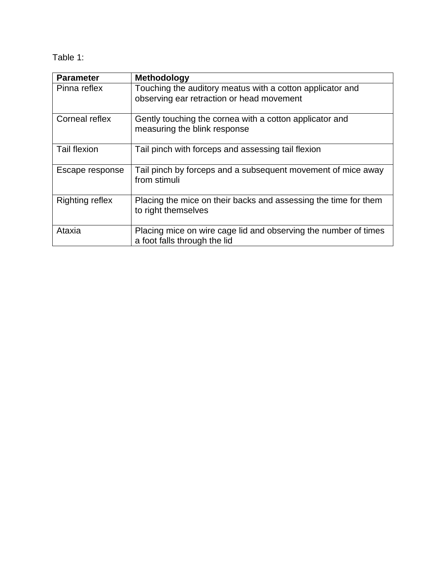Table 1:

| <b>Parameter</b>       | <b>Methodology</b>                                                                                     |
|------------------------|--------------------------------------------------------------------------------------------------------|
| Pinna reflex           | Touching the auditory meatus with a cotton applicator and<br>observing ear retraction or head movement |
| Corneal reflex         | Gently touching the cornea with a cotton applicator and<br>measuring the blink response                |
| <b>Tail flexion</b>    | Tail pinch with forceps and assessing tail flexion                                                     |
| Escape response        | Tail pinch by forceps and a subsequent movement of mice away<br>from stimuli                           |
| <b>Righting reflex</b> | Placing the mice on their backs and assessing the time for them<br>to right themselves                 |
| Ataxia                 | Placing mice on wire cage lid and observing the number of times<br>a foot falls through the lid        |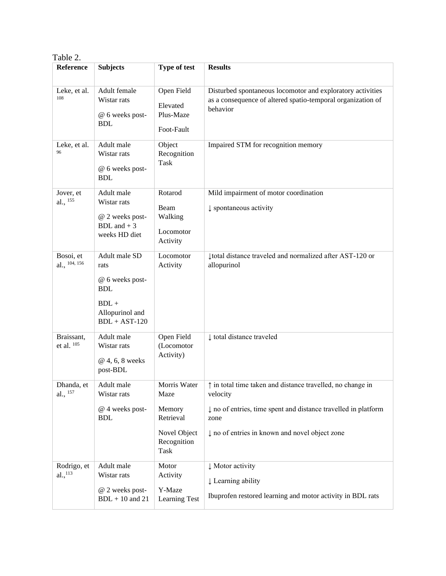| Table 2.                           |                                                                                                         |                                                                                    |                                                                                                                                                                                                    |  |
|------------------------------------|---------------------------------------------------------------------------------------------------------|------------------------------------------------------------------------------------|----------------------------------------------------------------------------------------------------------------------------------------------------------------------------------------------------|--|
| Reference                          | <b>Subjects</b>                                                                                         | Type of test                                                                       | <b>Results</b>                                                                                                                                                                                     |  |
| Leke, et al.<br>108                | Adult female<br>Wistar rats<br>@ 6 weeks post-<br><b>BDL</b>                                            | Open Field<br>Elevated<br>Plus-Maze<br>Foot-Fault                                  | Disturbed spontaneous locomotor and exploratory activities<br>as a consequence of altered spatio-temporal organization of<br>behavior                                                              |  |
| Leke, et al.<br>96                 | Adult male<br>Wistar rats<br>@ 6 weeks post-<br><b>BDL</b>                                              | Object<br>Recognition<br>Task                                                      | Impaired STM for recognition memory                                                                                                                                                                |  |
| Jover, et<br>al., 155              | Adult male<br>Wistar rats<br>@ 2 weeks post-<br>BDL and $+3$<br>weeks HD diet                           | Rotarod<br>Beam<br>Walking<br>Locomotor<br>Activity                                | Mild impairment of motor coordination<br>$\downarrow$ spontaneous activity                                                                                                                         |  |
| Bosoi, et<br>al., 104, 156         | Adult male SD<br>rats<br>@ 6 weeks post-<br><b>BDL</b><br>$BDL +$<br>Allopurinol and<br>$BDL + AST-120$ | Locomotor<br>Activity                                                              | Itotal distance traveled and normalized after AST-120 or<br>allopurinol                                                                                                                            |  |
| Braissant,<br>et al. 105           | Adult male<br>Wistar rats<br>@ 4, 6, 8 weeks<br>post-BDL                                                | Open Field<br>(Locomotor<br>Activity)                                              | ↓ total distance traveled                                                                                                                                                                          |  |
| Dhanda, et<br>al., $^{157}$        | Adult male<br>Wistar rats<br>@ 4 weeks post-<br><b>BDL</b>                                              | Morris Water<br>Maze<br>Memory<br>Retrieval<br>Novel Object<br>Recognition<br>Task | ↑ in total time taken and distance travelled, no change in<br>velocity<br>↓ no of entries, time spent and distance travelled in platform<br>zone<br>↓ no of entries in known and novel object zone |  |
| Rodrigo, et<br>al., <sup>113</sup> | Adult male<br>Wistar rats<br>@ 2 weeks post-<br>$BDL + 10$ and 21                                       | Motor<br>Activity<br>Y-Maze<br>Learning Test                                       | ↓ Motor activity<br>Learning ability<br>Ibuprofen restored learning and motor activity in BDL rats                                                                                                 |  |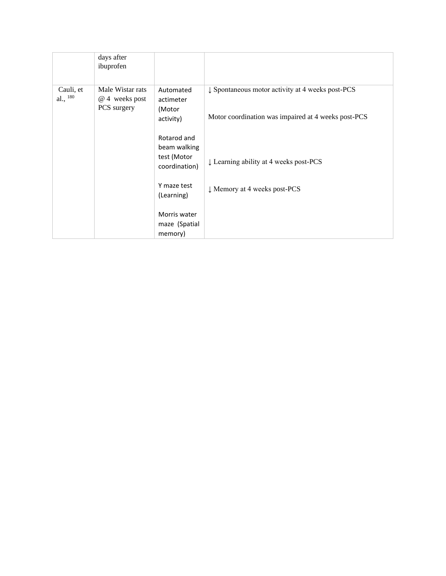|                            | days after<br>ibuprofen                           |                                                             |                                                                                                                    |
|----------------------------|---------------------------------------------------|-------------------------------------------------------------|--------------------------------------------------------------------------------------------------------------------|
| Cauli, et<br>al., $^{180}$ | Male Wistar rats<br>@ 4 weeks post<br>PCS surgery | Automated<br>actimeter<br>(Motor<br>activity)               | $\downarrow$ Spontaneous motor activity at 4 weeks post-PCS<br>Motor coordination was impaired at 4 weeks post-PCS |
|                            |                                                   | Rotarod and<br>beam walking<br>test (Motor<br>coordination) | $\downarrow$ Learning ability at 4 weeks post-PCS                                                                  |
|                            |                                                   | Y maze test<br>(Learning)                                   | U Memory at 4 weeks post-PCS                                                                                       |
|                            |                                                   | Morris water<br>maze (Spatial<br>memory)                    |                                                                                                                    |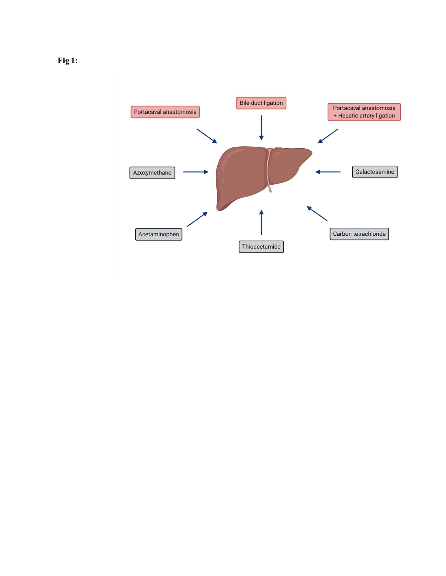

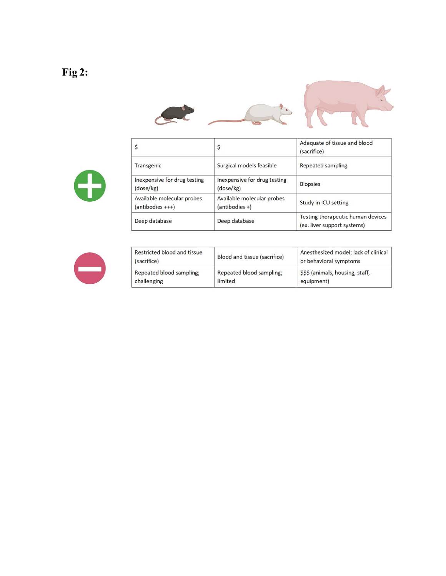# $Fig 2:$





| \$                                               | \$                                             | Adequate of tissue and blood<br>(sacrifice)                      |
|--------------------------------------------------|------------------------------------------------|------------------------------------------------------------------|
| Transgenic                                       | Surgical models feasible                       | Repeated sampling                                                |
| Inexpensive for drug testing<br>(dose/kg)        | Inexpensive for drug testing<br>(dose/kg)      | <b>Biopsies</b>                                                  |
| Available molecular probes<br>$(antibodies +++)$ | Available molecular probes<br>$(antibodies +)$ | Study in ICU setting                                             |
| Deep database                                    | Deep database                                  | Testing therapeutic human devices<br>(ex. liver support systems) |



| Restricted blood and tissue<br>(sacrifice) | Blood and tissue (sacrifice) | Anesthesized model; lack of clinical<br>or behavioral symptoms |  |
|--------------------------------------------|------------------------------|----------------------------------------------------------------|--|
| Repeated blood sampling;                   | Repeated blood sampling;     | \$\$\$ (animals, housing, staff,                               |  |
| challenging                                | limited                      | equipment)                                                     |  |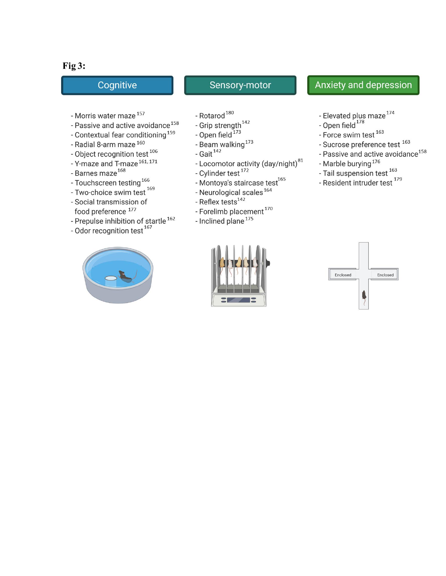# Fig  $3:$

# Cognitive

# Sensory-motor

- Morris water maze<sup>157</sup>
- Passive and active avoidance<sup>158</sup>
- Contextual fear conditioning<sup>159</sup>
- Radial 8-arm maze 160
- Object recognition test  $^{106}$
- Y-maze and T-maze <sup>161, 171</sup><br>- Barnes maze <sup>168</sup>
- 
- Touchscreen testing<sup>166</sup>
- Two-choice swim test<sup>169</sup>
- Social transmission of food preference 177
- Prepulse inhibition of startle<sup>162</sup>
- Odor recognition test<sup>167</sup>



- Rotarod $^{180}$
- Grip strength<sup>142</sup><br>- Open field<sup>173</sup>
- 
- Beam walking<sup>173</sup><br>- Gait<sup>142</sup>
- 
- Locomotor activity  $\left(\text{day/night}\right)^{81}$ <br>- Cylinder test  $^{172}$
- 
- Montoya's staircase test<sup>165</sup>
- Neurological scales<sup>164</sup>
- Reflex tests<sup>142</sup>
- Forelimb placement<sup>170</sup>
- Inclined plane<sup>175</sup>



# **Anxiety and depression**

- Elevated plus maze<sup>174</sup><br>- Open field<sup>178</sup>
- 
- Force swim test<sup>163</sup>
- Sucrose preference test 163
- Passive and active avoidance<sup>158</sup>
- Marble burying<sup>176</sup>
- Tail suspension test<sup>163</sup>
- Resident intruder test<sup>179</sup>